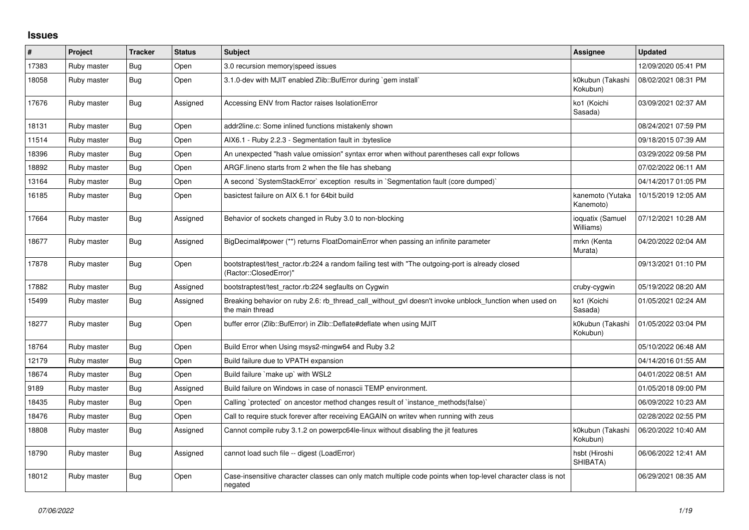## **Issues**

| #     | Project     | <b>Tracker</b> | <b>Status</b> | <b>Subject</b>                                                                                                             | Assignee                      | <b>Updated</b>      |
|-------|-------------|----------------|---------------|----------------------------------------------------------------------------------------------------------------------------|-------------------------------|---------------------|
| 17383 | Ruby master | Bug            | Open          | 3.0 recursion memory speed issues                                                                                          |                               | 12/09/2020 05:41 PM |
| 18058 | Ruby master | <b>Bug</b>     | Open          | 3.1.0-dev with MJIT enabled Zlib::BufError during `gem install`                                                            | k0kubun (Takashi<br>Kokubun)  | 08/02/2021 08:31 PM |
| 17676 | Ruby master | Bug            | Assigned      | Accessing ENV from Ractor raises IsolationError                                                                            | ko1 (Koichi<br>Sasada)        | 03/09/2021 02:37 AM |
| 18131 | Ruby master | Bug            | Open          | addr2line.c: Some inlined functions mistakenly shown                                                                       |                               | 08/24/2021 07:59 PM |
| 11514 | Ruby master | Bug            | Open          | AIX6.1 - Ruby 2.2.3 - Segmentation fault in : byteslice                                                                    |                               | 09/18/2015 07:39 AM |
| 18396 | Ruby master | <b>Bug</b>     | Open          | An unexpected "hash value omission" syntax error when without parentheses call expr follows                                |                               | 03/29/2022 09:58 PM |
| 18892 | Ruby master | <b>Bug</b>     | Open          | ARGF. lineno starts from 2 when the file has shebang                                                                       |                               | 07/02/2022 06:11 AM |
| 13164 | Ruby master | Bug            | Open          | A second `SystemStackError` exception results in `Segmentation fault (core dumped)`                                        |                               | 04/14/2017 01:05 PM |
| 16185 | Ruby master | Bug            | Open          | basictest failure on AIX 6.1 for 64bit build                                                                               | kanemoto (Yutaka<br>Kanemoto) | 10/15/2019 12:05 AM |
| 17664 | Ruby master | <b>Bug</b>     | Assigned      | Behavior of sockets changed in Ruby 3.0 to non-blocking                                                                    | ioquatix (Samuel<br>Williams) | 07/12/2021 10:28 AM |
| 18677 | Ruby master | Bug            | Assigned      | BigDecimal#power (**) returns FloatDomainError when passing an infinite parameter                                          | mrkn (Kenta<br>Murata)        | 04/20/2022 02:04 AM |
| 17878 | Ruby master | <b>Bug</b>     | Open          | bootstraptest/test_ractor.rb:224 a random failing test with "The outgoing-port is already closed<br>(Ractor::ClosedError)" |                               | 09/13/2021 01:10 PM |
| 17882 | Ruby master | <b>Bug</b>     | Assigned      | bootstraptest/test ractor.rb:224 segfaults on Cygwin                                                                       | cruby-cygwin                  | 05/19/2022 08:20 AM |
| 15499 | Ruby master | <b>Bug</b>     | Assigned      | Breaking behavior on ruby 2.6: rb_thread_call_without_gvl doesn't invoke unblock_function when used on<br>the main thread  | ko1 (Koichi<br>Sasada)        | 01/05/2021 02:24 AM |
| 18277 | Ruby master | Bug            | Open          | buffer error (Zlib::BufError) in Zlib::Deflate#deflate when using MJIT                                                     | k0kubun (Takashi<br>Kokubun)  | 01/05/2022 03:04 PM |
| 18764 | Ruby master | <b>Bug</b>     | Open          | Build Error when Using msys2-mingw64 and Ruby 3.2                                                                          |                               | 05/10/2022 06:48 AM |
| 12179 | Ruby master | Bug            | Open          | Build failure due to VPATH expansion                                                                                       |                               | 04/14/2016 01:55 AM |
| 18674 | Ruby master | Bug            | Open          | Build failure `make up` with WSL2                                                                                          |                               | 04/01/2022 08:51 AM |
| 9189  | Ruby master | Bug            | Assigned      | Build failure on Windows in case of nonascii TEMP environment.                                                             |                               | 01/05/2018 09:00 PM |
| 18435 | Ruby master | <b>Bug</b>     | Open          | Calling `protected` on ancestor method changes result of `instance_methods(false)`                                         |                               | 06/09/2022 10:23 AM |
| 18476 | Ruby master | <b>Bug</b>     | Open          | Call to require stuck forever after receiving EAGAIN on writev when running with zeus                                      |                               | 02/28/2022 02:55 PM |
| 18808 | Ruby master | <b>Bug</b>     | Assigned      | Cannot compile ruby 3.1.2 on powerpc64le-linux without disabling the jit features                                          | k0kubun (Takashi<br>Kokubun)  | 06/20/2022 10:40 AM |
| 18790 | Ruby master | Bug            | Assigned      | cannot load such file -- digest (LoadError)                                                                                | hsbt (Hiroshi<br>SHIBATA)     | 06/06/2022 12:41 AM |
| 18012 | Ruby master | <b>Bug</b>     | Open          | Case-insensitive character classes can only match multiple code points when top-level character class is not<br>negated    |                               | 06/29/2021 08:35 AM |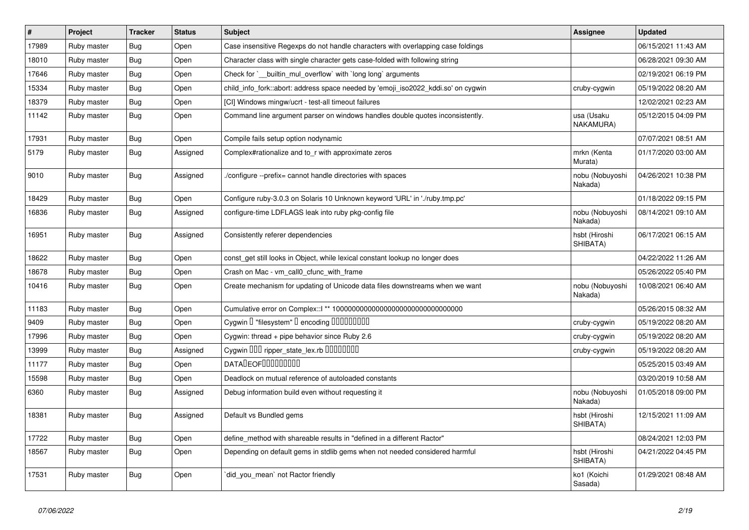| $\pmb{\#}$ | Project     | <b>Tracker</b> | <b>Status</b> | <b>Subject</b>                                                                    | <b>Assignee</b>            | <b>Updated</b>      |
|------------|-------------|----------------|---------------|-----------------------------------------------------------------------------------|----------------------------|---------------------|
| 17989      | Ruby master | Bug            | Open          | Case insensitive Regexps do not handle characters with overlapping case foldings  |                            | 06/15/2021 11:43 AM |
| 18010      | Ruby master | Bug            | Open          | Character class with single character gets case-folded with following string      |                            | 06/28/2021 09:30 AM |
| 17646      | Ruby master | Bug            | Open          | Check for `__builtin_mul_overflow` with `long long` arguments                     |                            | 02/19/2021 06:19 PM |
| 15334      | Ruby master | Bug            | Open          | child_info_fork::abort: address space needed by 'emoji_iso2022_kddi.so' on cygwin | cruby-cygwin               | 05/19/2022 08:20 AM |
| 18379      | Ruby master | Bug            | Open          | [CI] Windows mingw/ucrt - test-all timeout failures                               |                            | 12/02/2021 02:23 AM |
| 11142      | Ruby master | Bug            | Open          | Command line argument parser on windows handles double quotes inconsistently.     | usa (Usaku<br>NAKAMURA)    | 05/12/2015 04:09 PM |
| 17931      | Ruby master | Bug            | Open          | Compile fails setup option nodynamic                                              |                            | 07/07/2021 08:51 AM |
| 5179       | Ruby master | <b>Bug</b>     | Assigned      | Complex#rationalize and to r with approximate zeros                               | mrkn (Kenta<br>Murata)     | 01/17/2020 03:00 AM |
| 9010       | Ruby master | Bug            | Assigned      | /configure --prefix= cannot handle directories with spaces                        | nobu (Nobuyoshi<br>Nakada) | 04/26/2021 10:38 PM |
| 18429      | Ruby master | Bug            | Open          | Configure ruby-3.0.3 on Solaris 10 Unknown keyword 'URL' in './ruby.tmp.pc'       |                            | 01/18/2022 09:15 PM |
| 16836      | Ruby master | <b>Bug</b>     | Assigned      | configure-time LDFLAGS leak into ruby pkg-config file                             | nobu (Nobuyoshi<br>Nakada) | 08/14/2021 09:10 AM |
| 16951      | Ruby master | Bug            | Assigned      | Consistently referer dependencies                                                 | hsbt (Hiroshi<br>SHIBATA)  | 06/17/2021 06:15 AM |
| 18622      | Ruby master | Bug            | Open          | const_get still looks in Object, while lexical constant lookup no longer does     |                            | 04/22/2022 11:26 AM |
| 18678      | Ruby master | Bug            | Open          | Crash on Mac - vm_call0_cfunc_with_frame                                          |                            | 05/26/2022 05:40 PM |
| 10416      | Ruby master | Bug            | Open          | Create mechanism for updating of Unicode data files downstreams when we want      | nobu (Nobuyoshi<br>Nakada) | 10/08/2021 06:40 AM |
| 11183      | Ruby master | Bug            | Open          |                                                                                   |                            | 05/26/2015 08:32 AM |
| 9409       | Ruby master | Bug            | Open          | Cygwin I "filesystem" I encoding IIIIIIIIIIIII                                    | cruby-cygwin               | 05/19/2022 08:20 AM |
| 17996      | Ruby master | Bug            | Open          | Cygwin: thread + pipe behavior since Ruby 2.6                                     | cruby-cygwin               | 05/19/2022 08:20 AM |
| 13999      | Ruby master | Bug            | Assigned      | Cygwin DDD ripper_state_lex.rb DDDDDDDD                                           | cruby-cygwin               | 05/19/2022 08:20 AM |
| 11177      | Ruby master | Bug            | Open          | <b>DATALEOFILILILILILI</b>                                                        |                            | 05/25/2015 03:49 AM |
| 15598      | Ruby master | Bug            | Open          | Deadlock on mutual reference of autoloaded constants                              |                            | 03/20/2019 10:58 AM |
| 6360       | Ruby master | Bug            | Assigned      | Debug information build even without requesting it                                | nobu (Nobuyoshi<br>Nakada) | 01/05/2018 09:00 PM |
| 18381      | Ruby master | Bug            | Assigned      | Default vs Bundled gems                                                           | hsbt (Hiroshi<br>SHIBATA)  | 12/15/2021 11:09 AM |
| 17722      | Ruby master | Bug            | Open          | define_method with shareable results in "defined in a different Ractor"           |                            | 08/24/2021 12:03 PM |
| 18567      | Ruby master | Bug            | Open          | Depending on default gems in stdlib gems when not needed considered harmful       | hsbt (Hiroshi<br>SHIBATA)  | 04/21/2022 04:45 PM |
| 17531      | Ruby master | Bug            | Open          | did_you_mean` not Ractor friendly                                                 | ko1 (Koichi<br>Sasada)     | 01/29/2021 08:48 AM |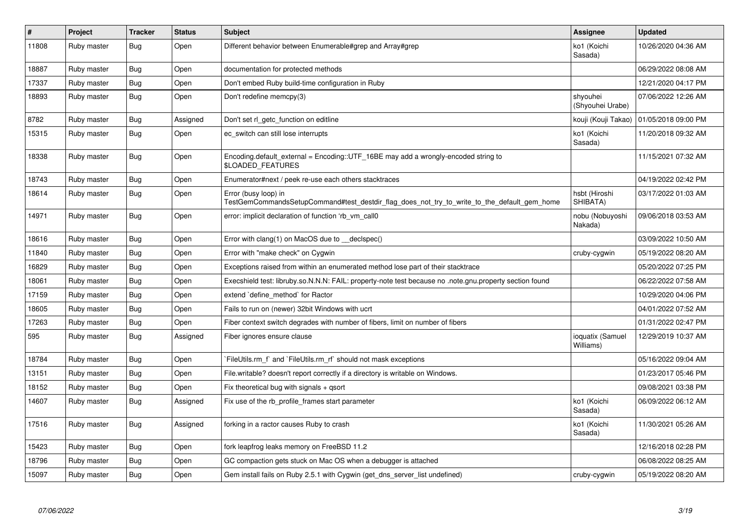| $\vert$ # | Project     | <b>Tracker</b> | <b>Status</b> | <b>Subject</b>                                                                                                      | Assignee                      | <b>Updated</b>      |
|-----------|-------------|----------------|---------------|---------------------------------------------------------------------------------------------------------------------|-------------------------------|---------------------|
| 11808     | Ruby master | Bug            | Open          | Different behavior between Enumerable#grep and Array#grep                                                           | ko1 (Koichi<br>Sasada)        | 10/26/2020 04:36 AM |
| 18887     | Ruby master | <b>Bug</b>     | Open          | documentation for protected methods                                                                                 |                               | 06/29/2022 08:08 AM |
| 17337     | Ruby master | Bug            | Open          | Don't embed Ruby build-time configuration in Ruby                                                                   |                               | 12/21/2020 04:17 PM |
| 18893     | Ruby master | Bug            | Open          | Don't redefine memcpy(3)                                                                                            | shyouhei<br>(Shyouhei Urabe)  | 07/06/2022 12:26 AM |
| 8782      | Ruby master | <b>Bug</b>     | Assigned      | Don't set rl getc function on editline                                                                              | kouji (Kouji Takao)           | 01/05/2018 09:00 PM |
| 15315     | Ruby master | Bug            | Open          | ec_switch can still lose interrupts                                                                                 | ko1 (Koichi<br>Sasada)        | 11/20/2018 09:32 AM |
| 18338     | Ruby master | Bug            | Open          | Encoding default external = $Encoding::UTF 16BE$ may add a wrongly-encoded string to<br>\$LOADED_FEATURES           |                               | 11/15/2021 07:32 AM |
| 18743     | Ruby master | Bug            | Open          | Enumerator#next / peek re-use each others stacktraces                                                               |                               | 04/19/2022 02:42 PM |
| 18614     | Ruby master | <b>Bug</b>     | Open          | Error (busy loop) in<br>TestGemCommandsSetupCommand#test_destdir_flag_does_not_try_to_write_to_the_default_gem_home | hsbt (Hiroshi<br>SHIBATA)     | 03/17/2022 01:03 AM |
| 14971     | Ruby master | Bug            | Open          | error: implicit declaration of function 'rb vm call0                                                                | nobu (Nobuyoshi<br>Nakada)    | 09/06/2018 03:53 AM |
| 18616     | Ruby master | Bug            | Open          | Error with clang(1) on MacOS due to __declspec()                                                                    |                               | 03/09/2022 10:50 AM |
| 11840     | Ruby master | <b>Bug</b>     | Open          | Error with "make check" on Cygwin                                                                                   | cruby-cygwin                  | 05/19/2022 08:20 AM |
| 16829     | Ruby master | <b>Bug</b>     | Open          | Exceptions raised from within an enumerated method lose part of their stacktrace                                    |                               | 05/20/2022 07:25 PM |
| 18061     | Ruby master | Bug            | Open          | Execshield test: libruby.so.N.N.N: FAIL: property-note test because no .note.gnu.property section found             |                               | 06/22/2022 07:58 AM |
| 17159     | Ruby master | <b>Bug</b>     | Open          | extend `define method` for Ractor                                                                                   |                               | 10/29/2020 04:06 PM |
| 18605     | Ruby master | Bug            | Open          | Fails to run on (newer) 32bit Windows with ucrt                                                                     |                               | 04/01/2022 07:52 AM |
| 17263     | Ruby master | Bug            | Open          | Fiber context switch degrades with number of fibers, limit on number of fibers                                      |                               | 01/31/2022 02:47 PM |
| 595       | Ruby master | <b>Bug</b>     | Assigned      | Fiber ignores ensure clause                                                                                         | ioquatix (Samuel<br>Williams) | 12/29/2019 10:37 AM |
| 18784     | Ruby master | Bug            | Open          | FileUtils.rm f and `FileUtils.rm rf should not mask exceptions                                                      |                               | 05/16/2022 09:04 AM |
| 13151     | Ruby master | Bug            | Open          | File writable? doesn't report correctly if a directory is writable on Windows.                                      |                               | 01/23/2017 05:46 PM |
| 18152     | Ruby master | <b>Bug</b>     | Open          | Fix theoretical bug with signals $+$ qsort                                                                          |                               | 09/08/2021 03:38 PM |
| 14607     | Ruby master | <b>Bug</b>     | Assigned      | Fix use of the rb_profile_frames start parameter                                                                    | ko1 (Koichi<br>Sasada)        | 06/09/2022 06:12 AM |
| 17516     | Ruby master | Bug            | Assigned      | forking in a ractor causes Ruby to crash                                                                            | ko1 (Koichi<br>Sasada)        | 11/30/2021 05:26 AM |
| 15423     | Ruby master | Bug            | Open          | fork leapfrog leaks memory on FreeBSD 11.2                                                                          |                               | 12/16/2018 02:28 PM |
| 18796     | Ruby master | <b>Bug</b>     | Open          | GC compaction gets stuck on Mac OS when a debugger is attached                                                      |                               | 06/08/2022 08:25 AM |
| 15097     | Ruby master | Bug            | Open          | Gem install fails on Ruby 2.5.1 with Cygwin (get_dns_server_list undefined)                                         | cruby-cygwin                  | 05/19/2022 08:20 AM |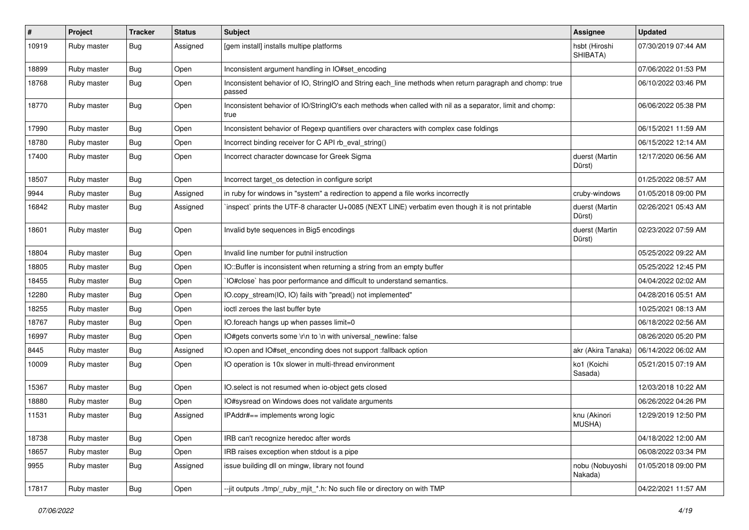| $\#$  | Project     | <b>Tracker</b> | <b>Status</b> | Subject                                                                                                            | Assignee                   | <b>Updated</b>      |
|-------|-------------|----------------|---------------|--------------------------------------------------------------------------------------------------------------------|----------------------------|---------------------|
| 10919 | Ruby master | Bug            | Assigned      | [gem install] installs multipe platforms                                                                           | hsbt (Hiroshi<br>SHIBATA)  | 07/30/2019 07:44 AM |
| 18899 | Ruby master | <b>Bug</b>     | Open          | Inconsistent argument handling in IO#set_encoding                                                                  |                            | 07/06/2022 01:53 PM |
| 18768 | Ruby master | <b>Bug</b>     | Open          | Inconsistent behavior of IO, StringIO and String each_line methods when return paragraph and chomp: true<br>passed |                            | 06/10/2022 03:46 PM |
| 18770 | Ruby master | Bug            | Open          | Inconsistent behavior of IO/StringIO's each methods when called with nil as a separator, limit and chomp:<br>true  |                            | 06/06/2022 05:38 PM |
| 17990 | Ruby master | Bug            | Open          | Inconsistent behavior of Regexp quantifiers over characters with complex case foldings                             |                            | 06/15/2021 11:59 AM |
| 18780 | Ruby master | Bug            | Open          | Incorrect binding receiver for C API rb_eval_string()                                                              |                            | 06/15/2022 12:14 AM |
| 17400 | Ruby master | <b>Bug</b>     | Open          | Incorrect character downcase for Greek Sigma                                                                       | duerst (Martin<br>Dürst)   | 12/17/2020 06:56 AM |
| 18507 | Ruby master | <b>Bug</b>     | Open          | Incorrect target_os detection in configure script                                                                  |                            | 01/25/2022 08:57 AM |
| 9944  | Ruby master | Bug            | Assigned      | in ruby for windows in "system" a redirection to append a file works incorrectly                                   | cruby-windows              | 01/05/2018 09:00 PM |
| 16842 | Ruby master | <b>Bug</b>     | Assigned      | inspect` prints the UTF-8 character U+0085 (NEXT LINE) verbatim even though it is not printable                    | duerst (Martin<br>Dürst)   | 02/26/2021 05:43 AM |
| 18601 | Ruby master | Bug            | Open          | Invalid byte sequences in Big5 encodings                                                                           | duerst (Martin<br>Dürst)   | 02/23/2022 07:59 AM |
| 18804 | Ruby master | <b>Bug</b>     | Open          | Invalid line number for putnil instruction                                                                         |                            | 05/25/2022 09:22 AM |
| 18805 | Ruby master | <b>Bug</b>     | Open          | IO::Buffer is inconsistent when returning a string from an empty buffer                                            |                            | 05/25/2022 12:45 PM |
| 18455 | Ruby master | <b>Bug</b>     | Open          | IO#close` has poor performance and difficult to understand semantics.                                              |                            | 04/04/2022 02:02 AM |
| 12280 | Ruby master | Bug            | Open          | IO.copy_stream(IO, IO) fails with "pread() not implemented"                                                        |                            | 04/28/2016 05:51 AM |
| 18255 | Ruby master | <b>Bug</b>     | Open          | ioctl zeroes the last buffer byte                                                                                  |                            | 10/25/2021 08:13 AM |
| 18767 | Ruby master | Bug            | Open          | IO.foreach hangs up when passes limit=0                                                                            |                            | 06/18/2022 02:56 AM |
| 16997 | Ruby master | Bug            | Open          | IO#gets converts some \r\n to \n with universal_newline: false                                                     |                            | 08/26/2020 05:20 PM |
| 8445  | Ruby master | <b>Bug</b>     | Assigned      | IO.open and IO#set_enconding does not support :fallback option                                                     | akr (Akira Tanaka)         | 06/14/2022 06:02 AM |
| 10009 | Ruby master | Bug            | Open          | IO operation is 10x slower in multi-thread environment                                                             | ko1 (Koichi<br>Sasada)     | 05/21/2015 07:19 AM |
| 15367 | Ruby master | <b>Bug</b>     | Open          | IO.select is not resumed when io-object gets closed                                                                |                            | 12/03/2018 10:22 AM |
| 18880 | Ruby master | Bug            | Open          | IO#sysread on Windows does not validate arguments                                                                  |                            | 06/26/2022 04:26 PM |
| 11531 | Ruby master | Bug            | Assigned      | IPAddr#== implements wrong logic                                                                                   | knu (Akinori<br>MUSHA)     | 12/29/2019 12:50 PM |
| 18738 | Ruby master | <b>Bug</b>     | Open          | IRB can't recognize heredoc after words                                                                            |                            | 04/18/2022 12:00 AM |
| 18657 | Ruby master | <b>Bug</b>     | Open          | IRB raises exception when stdout is a pipe                                                                         |                            | 06/08/2022 03:34 PM |
| 9955  | Ruby master | <b>Bug</b>     | Assigned      | issue building dll on mingw, library not found                                                                     | nobu (Nobuyoshi<br>Nakada) | 01/05/2018 09:00 PM |
| 17817 | Ruby master | Bug            | Open          | --jit outputs ./tmp/_ruby_mjit_*.h: No such file or directory on with TMP                                          |                            | 04/22/2021 11:57 AM |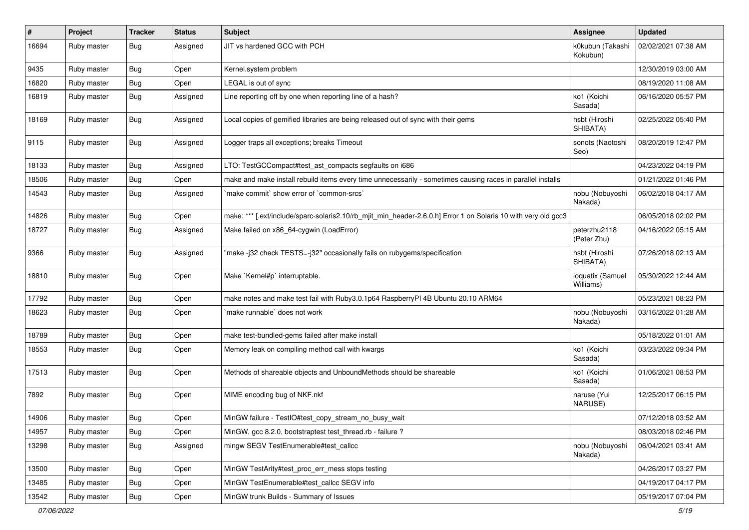| #     | Project     | <b>Tracker</b> | <b>Status</b> | Subject                                                                                                        | <b>Assignee</b>               | <b>Updated</b>      |
|-------|-------------|----------------|---------------|----------------------------------------------------------------------------------------------------------------|-------------------------------|---------------------|
| 16694 | Ruby master | Bug            | Assigned      | JIT vs hardened GCC with PCH                                                                                   | k0kubun (Takashi<br>Kokubun)  | 02/02/2021 07:38 AM |
| 9435  | Ruby master | <b>Bug</b>     | Open          | Kernel.system problem                                                                                          |                               | 12/30/2019 03:00 AM |
| 16820 | Ruby master | <b>Bug</b>     | Open          | LEGAL is out of sync                                                                                           |                               | 08/19/2020 11:08 AM |
| 16819 | Ruby master | Bug            | Assigned      | Line reporting off by one when reporting line of a hash?                                                       | ko1 (Koichi<br>Sasada)        | 06/16/2020 05:57 PM |
| 18169 | Ruby master | Bug            | Assigned      | Local copies of gemified libraries are being released out of sync with their gems                              | hsbt (Hiroshi<br>SHIBATA)     | 02/25/2022 05:40 PM |
| 9115  | Ruby master | Bug            | Assigned      | Logger traps all exceptions; breaks Timeout                                                                    | sonots (Naotoshi<br>Seo)      | 08/20/2019 12:47 PM |
| 18133 | Ruby master | <b>Bug</b>     | Assigned      | LTO: TestGCCompact#test_ast_compacts segfaults on i686                                                         |                               | 04/23/2022 04:19 PM |
| 18506 | Ruby master | Bug            | Open          | make and make install rebuild items every time unnecessarily - sometimes causing races in parallel installs    |                               | 01/21/2022 01:46 PM |
| 14543 | Ruby master | <b>Bug</b>     | Assigned      | `make commit` show error of `common-srcs`                                                                      | nobu (Nobuyoshi<br>Nakada)    | 06/02/2018 04:17 AM |
| 14826 | Ruby master | Bug            | Open          | make: *** [.ext/include/sparc-solaris2.10/rb_mjit_min_header-2.6.0.h] Error 1 on Solaris 10 with very old gcc3 |                               | 06/05/2018 02:02 PM |
| 18727 | Ruby master | Bug            | Assigned      | Make failed on x86_64-cygwin (LoadError)                                                                       | peterzhu2118<br>(Peter Zhu)   | 04/16/2022 05:15 AM |
| 9366  | Ruby master | Bug            | Assigned      | "make -j32 check TESTS=-j32" occasionally fails on rubygems/specification                                      | hsbt (Hiroshi<br>SHIBATA)     | 07/26/2018 02:13 AM |
| 18810 | Ruby master | Bug            | Open          | Make `Kernel#p` interruptable.                                                                                 | ioquatix (Samuel<br>Williams) | 05/30/2022 12:44 AM |
| 17792 | Ruby master | <b>Bug</b>     | Open          | make notes and make test fail with Ruby3.0.1p64 RaspberryPI 4B Ubuntu 20.10 ARM64                              |                               | 05/23/2021 08:23 PM |
| 18623 | Ruby master | <b>Bug</b>     | Open          | make runnable` does not work                                                                                   | nobu (Nobuyoshi<br>Nakada)    | 03/16/2022 01:28 AM |
| 18789 | Ruby master | <b>Bug</b>     | Open          | make test-bundled-gems failed after make install                                                               |                               | 05/18/2022 01:01 AM |
| 18553 | Ruby master | <b>Bug</b>     | Open          | Memory leak on compiling method call with kwargs                                                               | ko1 (Koichi<br>Sasada)        | 03/23/2022 09:34 PM |
| 17513 | Ruby master | Bug            | Open          | Methods of shareable objects and UnboundMethods should be shareable                                            | ko1 (Koichi<br>Sasada)        | 01/06/2021 08:53 PM |
| 7892  | Ruby master | Bug            | Open          | MIME encoding bug of NKF.nkf                                                                                   | naruse (Yui<br>NARUSE)        | 12/25/2017 06:15 PM |
| 14906 | Ruby master | Bug            | Open          | MinGW failure - TestlO#test_copy_stream_no_busy_wait                                                           |                               | 07/12/2018 03:52 AM |
| 14957 | Ruby master | <b>Bug</b>     | Open          | MinGW, gcc 8.2.0, bootstraptest test_thread.rb - failure ?                                                     |                               | 08/03/2018 02:46 PM |
| 13298 | Ruby master | <b>Bug</b>     | Assigned      | mingw SEGV TestEnumerable#test_callcc                                                                          | nobu (Nobuyoshi<br>Nakada)    | 06/04/2021 03:41 AM |
| 13500 | Ruby master | Bug            | Open          | MinGW TestArity#test proc err mess stops testing                                                               |                               | 04/26/2017 03:27 PM |
| 13485 | Ruby master | <b>Bug</b>     | Open          | MinGW TestEnumerable#test_callcc SEGV info                                                                     |                               | 04/19/2017 04:17 PM |
| 13542 | Ruby master | <b>Bug</b>     | Open          | MinGW trunk Builds - Summary of Issues                                                                         |                               | 05/19/2017 07:04 PM |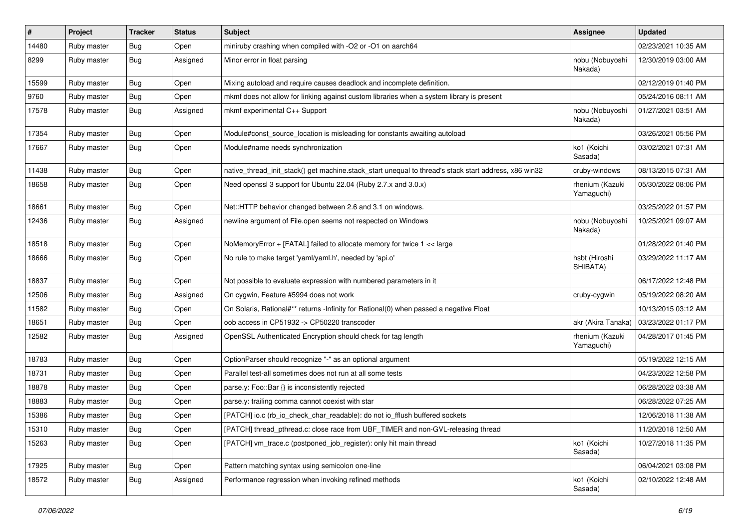| $\vert$ # | Project     | <b>Tracker</b> | <b>Status</b> | <b>Subject</b>                                                                                        | Assignee                      | <b>Updated</b>      |
|-----------|-------------|----------------|---------------|-------------------------------------------------------------------------------------------------------|-------------------------------|---------------------|
| 14480     | Ruby master | <b>Bug</b>     | Open          | miniruby crashing when compiled with -O2 or -O1 on aarch64                                            |                               | 02/23/2021 10:35 AM |
| 8299      | Ruby master | Bug            | Assigned      | Minor error in float parsing                                                                          | nobu (Nobuyoshi<br>Nakada)    | 12/30/2019 03:00 AM |
| 15599     | Ruby master | Bug            | Open          | Mixing autoload and require causes deadlock and incomplete definition.                                |                               | 02/12/2019 01:40 PM |
| 9760      | Ruby master | <b>Bug</b>     | Open          | mkmf does not allow for linking against custom libraries when a system library is present             |                               | 05/24/2016 08:11 AM |
| 17578     | Ruby master | <b>Bug</b>     | Assigned      | mkmf experimental C++ Support                                                                         | nobu (Nobuyoshi<br>Nakada)    | 01/27/2021 03:51 AM |
| 17354     | Ruby master | <b>Bug</b>     | Open          | Module#const_source_location is misleading for constants awaiting autoload                            |                               | 03/26/2021 05:56 PM |
| 17667     | Ruby master | <b>Bug</b>     | Open          | Module#name needs synchronization                                                                     | ko1 (Koichi<br>Sasada)        | 03/02/2021 07:31 AM |
| 11438     | Ruby master | <b>Bug</b>     | Open          | native_thread_init_stack() get machine.stack_start unequal to thread's stack start address, x86 win32 | cruby-windows                 | 08/13/2015 07:31 AM |
| 18658     | Ruby master | <b>Bug</b>     | Open          | Need openssl 3 support for Ubuntu 22.04 (Ruby 2.7.x and 3.0.x)                                        | rhenium (Kazuki<br>Yamaguchi) | 05/30/2022 08:06 PM |
| 18661     | Ruby master | <b>Bug</b>     | Open          | Net::HTTP behavior changed between 2.6 and 3.1 on windows.                                            |                               | 03/25/2022 01:57 PM |
| 12436     | Ruby master | <b>Bug</b>     | Assigned      | newline argument of File.open seems not respected on Windows                                          | nobu (Nobuyoshi<br>Nakada)    | 10/25/2021 09:07 AM |
| 18518     | Ruby master | <b>Bug</b>     | Open          | NoMemoryError + [FATAL] failed to allocate memory for twice 1 << large                                |                               | 01/28/2022 01:40 PM |
| 18666     | Ruby master | Bug            | Open          | No rule to make target 'yaml/yaml.h', needed by 'api.o'                                               | hsbt (Hiroshi<br>SHIBATA)     | 03/29/2022 11:17 AM |
| 18837     | Ruby master | <b>Bug</b>     | Open          | Not possible to evaluate expression with numbered parameters in it                                    |                               | 06/17/2022 12:48 PM |
| 12506     | Ruby master | Bug            | Assigned      | On cygwin, Feature #5994 does not work                                                                | cruby-cygwin                  | 05/19/2022 08:20 AM |
| 11582     | Ruby master | <b>Bug</b>     | Open          | On Solaris, Rational#** returns -Infinity for Rational(0) when passed a negative Float                |                               | 10/13/2015 03:12 AM |
| 18651     | Ruby master | <b>Bug</b>     | Open          | oob access in CP51932 -> CP50220 transcoder                                                           | akr (Akira Tanaka)            | 03/23/2022 01:17 PM |
| 12582     | Ruby master | Bug            | Assigned      | OpenSSL Authenticated Encryption should check for tag length                                          | rhenium (Kazuki<br>Yamaguchi) | 04/28/2017 01:45 PM |
| 18783     | Ruby master | <b>Bug</b>     | Open          | OptionParser should recognize "-" as an optional argument                                             |                               | 05/19/2022 12:15 AM |
| 18731     | Ruby master | <b>Bug</b>     | Open          | Parallel test-all sometimes does not run at all some tests                                            |                               | 04/23/2022 12:58 PM |
| 18878     | Ruby master | <b>Bug</b>     | Open          | parse.y: Foo::Bar {} is inconsistently rejected                                                       |                               | 06/28/2022 03:38 AM |
| 18883     | Ruby master | Bug            | Open          | parse.y: trailing comma cannot coexist with star                                                      |                               | 06/28/2022 07:25 AM |
| 15386     | Ruby master | <b>Bug</b>     | Open          | [PATCH] io.c (rb_io_check_char_readable): do not io_fflush buffered sockets                           |                               | 12/06/2018 11:38 AM |
| 15310     | Ruby master | <b>Bug</b>     | Open          | [PATCH] thread_pthread.c: close race from UBF_TIMER and non-GVL-releasing thread                      |                               | 11/20/2018 12:50 AM |
| 15263     | Ruby master | <b>Bug</b>     | Open          | [PATCH] vm_trace.c (postponed_job_register): only hit main thread                                     | ko1 (Koichi<br>Sasada)        | 10/27/2018 11:35 PM |
| 17925     | Ruby master | <b>Bug</b>     | Open          | Pattern matching syntax using semicolon one-line                                                      |                               | 06/04/2021 03:08 PM |
| 18572     | Ruby master | <b>Bug</b>     | Assigned      | Performance regression when invoking refined methods                                                  | ko1 (Koichi<br>Sasada)        | 02/10/2022 12:48 AM |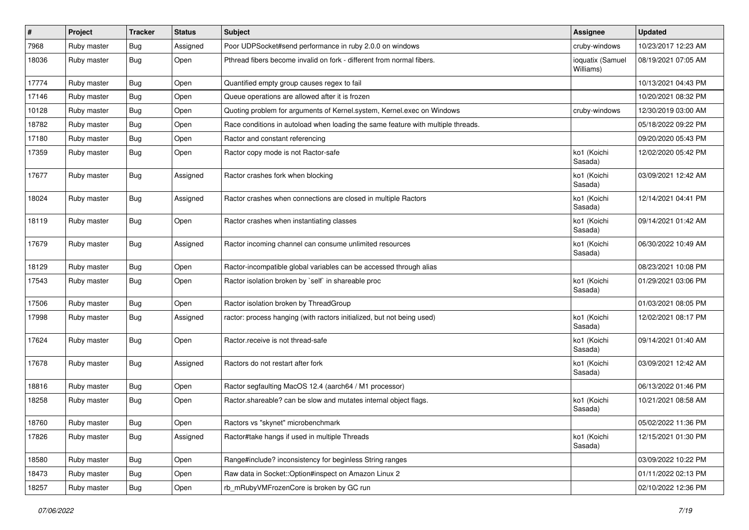| #     | Project     | <b>Tracker</b> | <b>Status</b> | <b>Subject</b>                                                                   | Assignee                      | <b>Updated</b>      |
|-------|-------------|----------------|---------------|----------------------------------------------------------------------------------|-------------------------------|---------------------|
| 7968  | Ruby master | <b>Bug</b>     | Assigned      | Poor UDPSocket#send performance in ruby 2.0.0 on windows                         | cruby-windows                 | 10/23/2017 12:23 AM |
| 18036 | Ruby master | Bug            | Open          | Pthread fibers become invalid on fork - different from normal fibers.            | ioquatix (Samuel<br>Williams) | 08/19/2021 07:05 AM |
| 17774 | Ruby master | <b>Bug</b>     | Open          | Quantified empty group causes regex to fail                                      |                               | 10/13/2021 04:43 PM |
| 17146 | Ruby master | Bug            | Open          | Queue operations are allowed after it is frozen                                  |                               | 10/20/2021 08:32 PM |
| 10128 | Ruby master | <b>Bug</b>     | Open          | Quoting problem for arguments of Kernel.system, Kernel.exec on Windows           | cruby-windows                 | 12/30/2019 03:00 AM |
| 18782 | Ruby master | <b>Bug</b>     | Open          | Race conditions in autoload when loading the same feature with multiple threads. |                               | 05/18/2022 09:22 PM |
| 17180 | Ruby master | <b>Bug</b>     | Open          | Ractor and constant referencing                                                  |                               | 09/20/2020 05:43 PM |
| 17359 | Ruby master | <b>Bug</b>     | Open          | Ractor copy mode is not Ractor-safe                                              | ko1 (Koichi<br>Sasada)        | 12/02/2020 05:42 PM |
| 17677 | Ruby master | <b>Bug</b>     | Assigned      | Ractor crashes fork when blocking                                                | ko1 (Koichi<br>Sasada)        | 03/09/2021 12:42 AM |
| 18024 | Ruby master | Bug            | Assigned      | Ractor crashes when connections are closed in multiple Ractors                   | ko1 (Koichi<br>Sasada)        | 12/14/2021 04:41 PM |
| 18119 | Ruby master | <b>Bug</b>     | Open          | Ractor crashes when instantiating classes                                        | ko1 (Koichi<br>Sasada)        | 09/14/2021 01:42 AM |
| 17679 | Ruby master | Bug            | Assigned      | Ractor incoming channel can consume unlimited resources                          | ko1 (Koichi<br>Sasada)        | 06/30/2022 10:49 AM |
| 18129 | Ruby master | Bug            | Open          | Ractor-incompatible global variables can be accessed through alias               |                               | 08/23/2021 10:08 PM |
| 17543 | Ruby master | <b>Bug</b>     | Open          | Ractor isolation broken by `self` in shareable proc                              | ko1 (Koichi<br>Sasada)        | 01/29/2021 03:06 PM |
| 17506 | Ruby master | <b>Bug</b>     | Open          | Ractor isolation broken by ThreadGroup                                           |                               | 01/03/2021 08:05 PM |
| 17998 | Ruby master | <b>Bug</b>     | Assigned      | ractor: process hanging (with ractors initialized, but not being used)           | ko1 (Koichi<br>Sasada)        | 12/02/2021 08:17 PM |
| 17624 | Ruby master | <b>Bug</b>     | Open          | Ractor.receive is not thread-safe                                                | ko1 (Koichi<br>Sasada)        | 09/14/2021 01:40 AM |
| 17678 | Ruby master | <b>Bug</b>     | Assigned      | Ractors do not restart after fork                                                | ko1 (Koichi<br>Sasada)        | 03/09/2021 12:42 AM |
| 18816 | Ruby master | <b>Bug</b>     | Open          | Ractor segfaulting MacOS 12.4 (aarch64 / M1 processor)                           |                               | 06/13/2022 01:46 PM |
| 18258 | Ruby master | <b>Bug</b>     | Open          | Ractor.shareable? can be slow and mutates internal object flags.                 | ko1 (Koichi<br>Sasada)        | 10/21/2021 08:58 AM |
| 18760 | Ruby master | Bug            | Open          | Ractors vs "skynet" microbenchmark                                               |                               | 05/02/2022 11:36 PM |
| 17826 | Ruby master | Bug            | Assigned      | Ractor#take hangs if used in multiple Threads                                    | ko1 (Koichi<br>Sasada)        | 12/15/2021 01:30 PM |
| 18580 | Ruby master | <b>Bug</b>     | Open          | Range#include? inconsistency for beginless String ranges                         |                               | 03/09/2022 10:22 PM |
| 18473 | Ruby master | <b>Bug</b>     | Open          | Raw data in Socket::Option#inspect on Amazon Linux 2                             |                               | 01/11/2022 02:13 PM |
| 18257 | Ruby master | <b>Bug</b>     | Open          | rb mRubyVMFrozenCore is broken by GC run                                         |                               | 02/10/2022 12:36 PM |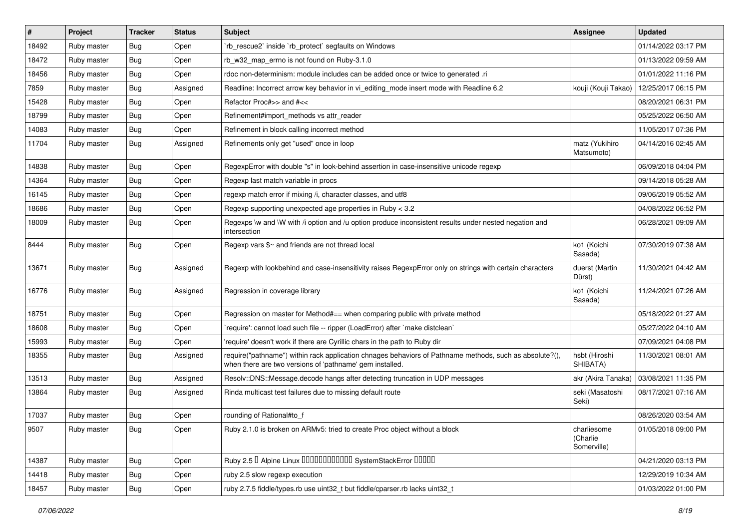| #     | Project     | <b>Tracker</b> | <b>Status</b> | Subject                                                                                                                                                             | <b>Assignee</b>                        | <b>Updated</b>      |
|-------|-------------|----------------|---------------|---------------------------------------------------------------------------------------------------------------------------------------------------------------------|----------------------------------------|---------------------|
| 18492 | Ruby master | <b>Bug</b>     | Open          | 'rb_rescue2' inside 'rb_protect' segfaults on Windows                                                                                                               |                                        | 01/14/2022 03:17 PM |
| 18472 | Ruby master | <b>Bug</b>     | Open          | rb_w32_map_errno is not found on Ruby-3.1.0                                                                                                                         |                                        | 01/13/2022 09:59 AM |
| 18456 | Ruby master | <b>Bug</b>     | Open          | rdoc non-determinism: module includes can be added once or twice to generated .ri                                                                                   |                                        | 01/01/2022 11:16 PM |
| 7859  | Ruby master | <b>Bug</b>     | Assigned      | Readline: Incorrect arrow key behavior in vi_editing_mode insert mode with Readline 6.2                                                                             | kouji (Kouji Takao)                    | 12/25/2017 06:15 PM |
| 15428 | Ruby master | <b>Bug</b>     | Open          | Refactor Proc#>> and #<<                                                                                                                                            |                                        | 08/20/2021 06:31 PM |
| 18799 | Ruby master | <b>Bug</b>     | Open          | Refinement#import methods vs attr reader                                                                                                                            |                                        | 05/25/2022 06:50 AM |
| 14083 | Ruby master | <b>Bug</b>     | Open          | Refinement in block calling incorrect method                                                                                                                        |                                        | 11/05/2017 07:36 PM |
| 11704 | Ruby master | Bug            | Assigned      | Refinements only get "used" once in loop                                                                                                                            | matz (Yukihiro<br>Matsumoto)           | 04/14/2016 02:45 AM |
| 14838 | Ruby master | <b>Bug</b>     | Open          | RegexpError with double "s" in look-behind assertion in case-insensitive unicode regexp                                                                             |                                        | 06/09/2018 04:04 PM |
| 14364 | Ruby master | <b>Bug</b>     | Open          | Regexp last match variable in procs                                                                                                                                 |                                        | 09/14/2018 05:28 AM |
| 16145 | Ruby master | <b>Bug</b>     | Open          | regexp match error if mixing /i, character classes, and utf8                                                                                                        |                                        | 09/06/2019 05:52 AM |
| 18686 | Ruby master | <b>Bug</b>     | Open          | Regexp supporting unexpected age properties in Ruby < 3.2                                                                                                           |                                        | 04/08/2022 06:52 PM |
| 18009 | Ruby master | <b>Bug</b>     | Open          | Regexps \w and \W with /i option and /u option produce inconsistent results under nested negation and<br>intersection                                               |                                        | 06/28/2021 09:09 AM |
| 8444  | Ruby master | Bug            | Open          | Regexp vars \$~ and friends are not thread local                                                                                                                    | ko1 (Koichi<br>Sasada)                 | 07/30/2019 07:38 AM |
| 13671 | Ruby master | <b>Bug</b>     | Assigned      | Regexp with lookbehind and case-insensitivity raises RegexpError only on strings with certain characters                                                            | duerst (Martin<br>Dürst)               | 11/30/2021 04:42 AM |
| 16776 | Ruby master | Bug            | Assigned      | Regression in coverage library                                                                                                                                      | ko1 (Koichi<br>Sasada)                 | 11/24/2021 07:26 AM |
| 18751 | Ruby master | <b>Bug</b>     | Open          | Regression on master for Method#== when comparing public with private method                                                                                        |                                        | 05/18/2022 01:27 AM |
| 18608 | Ruby master | <b>Bug</b>     | Open          | 'require': cannot load such file -- ripper (LoadError) after 'make distclean'                                                                                       |                                        | 05/27/2022 04:10 AM |
| 15993 | Ruby master | <b>Bug</b>     | Open          | 'require' doesn't work if there are Cyrillic chars in the path to Ruby dir                                                                                          |                                        | 07/09/2021 04:08 PM |
| 18355 | Ruby master | <b>Bug</b>     | Assigned      | require("pathname") within rack application chnages behaviors of Pathname methods, such as absolute?(),<br>when there are two versions of 'pathname' gem installed. | hsbt (Hiroshi<br>SHIBATA)              | 11/30/2021 08:01 AM |
| 13513 | Ruby master | <b>Bug</b>     | Assigned      | Resolv::DNS::Message.decode hangs after detecting truncation in UDP messages                                                                                        | akr (Akira Tanaka)                     | 03/08/2021 11:35 PM |
| 13864 | Ruby master | Bug            | Assigned      | Rinda multicast test failures due to missing default route                                                                                                          | seki (Masatoshi<br>Seki)               | 08/17/2021 07:16 AM |
| 17037 | Ruby master | Bug            | Open          | rounding of Rational#to f                                                                                                                                           |                                        | 08/26/2020 03:54 AM |
| 9507  | Ruby master | Bug            | Open          | Ruby 2.1.0 is broken on ARMv5: tried to create Proc object without a block                                                                                          | charliesome<br>(Charlie<br>Somerville) | 01/05/2018 09:00 PM |
| 14387 | Ruby master | <b>Bug</b>     | Open          | Ruby 2.5 <sup>D</sup> Alpine Linux 000000000000 SystemStackError 00000                                                                                              |                                        | 04/21/2020 03:13 PM |
| 14418 | Ruby master | <b>Bug</b>     | Open          | ruby 2.5 slow regexp execution                                                                                                                                      |                                        | 12/29/2019 10:34 AM |
| 18457 | Ruby master | <b>Bug</b>     | Open          | ruby 2.7.5 fiddle/types.rb use uint32_t but fiddle/cparser.rb lacks uint32_t                                                                                        |                                        | 01/03/2022 01:00 PM |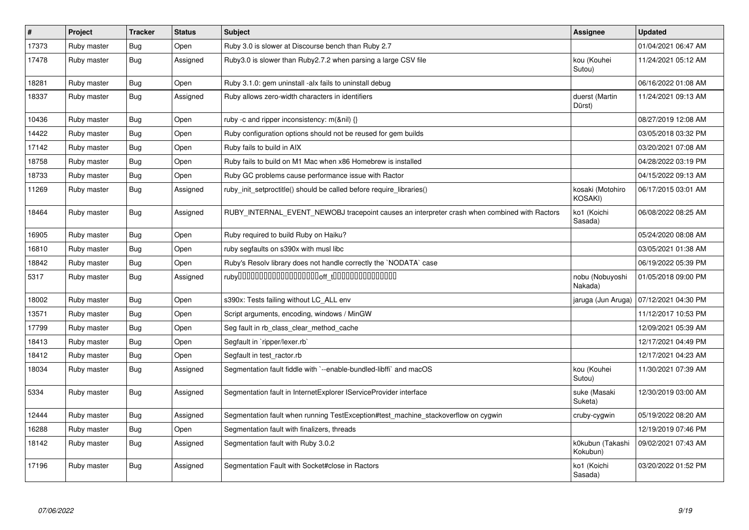| $\#$  | Project     | <b>Tracker</b> | <b>Status</b> | <b>Subject</b>                                                                               | Assignee                     | <b>Updated</b>      |
|-------|-------------|----------------|---------------|----------------------------------------------------------------------------------------------|------------------------------|---------------------|
| 17373 | Ruby master | <b>Bug</b>     | Open          | Ruby 3.0 is slower at Discourse bench than Ruby 2.7                                          |                              | 01/04/2021 06:47 AM |
| 17478 | Ruby master | <b>Bug</b>     | Assigned      | Ruby3.0 is slower than Ruby2.7.2 when parsing a large CSV file                               | kou (Kouhei<br>Sutou)        | 11/24/2021 05:12 AM |
| 18281 | Ruby master | Bug            | Open          | Ruby 3.1.0: gem uninstall -alx fails to uninstall debug                                      |                              | 06/16/2022 01:08 AM |
| 18337 | Ruby master | <b>Bug</b>     | Assigned      | Ruby allows zero-width characters in identifiers                                             | duerst (Martin<br>Dürst)     | 11/24/2021 09:13 AM |
| 10436 | Ruby master | Bug            | Open          | ruby -c and ripper inconsistency: $m(\& \text{nil}) \{\}$                                    |                              | 08/27/2019 12:08 AM |
| 14422 | Ruby master | <b>Bug</b>     | Open          | Ruby configuration options should not be reused for gem builds                               |                              | 03/05/2018 03:32 PM |
| 17142 | Ruby master | <b>Bug</b>     | Open          | Ruby fails to build in AIX                                                                   |                              | 03/20/2021 07:08 AM |
| 18758 | Ruby master | <b>Bug</b>     | Open          | Ruby fails to build on M1 Mac when x86 Homebrew is installed                                 |                              | 04/28/2022 03:19 PM |
| 18733 | Ruby master | <b>Bug</b>     | Open          | Ruby GC problems cause performance issue with Ractor                                         |                              | 04/15/2022 09:13 AM |
| 11269 | Ruby master | <b>Bug</b>     | Assigned      | ruby_init_setproctitle() should be called before require_libraries()                         | kosaki (Motohiro<br>KOSAKI)  | 06/17/2015 03:01 AM |
| 18464 | Ruby master | <b>Bug</b>     | Assigned      | RUBY INTERNAL EVENT NEWOBJ tracepoint causes an interpreter crash when combined with Ractors | ko1 (Koichi<br>Sasada)       | 06/08/2022 08:25 AM |
| 16905 | Ruby master | <b>Bug</b>     | Open          | Ruby required to build Ruby on Haiku?                                                        |                              | 05/24/2020 08:08 AM |
| 16810 | Ruby master | <b>Bug</b>     | Open          | ruby segfaults on s390x with musl libc                                                       |                              | 03/05/2021 01:38 AM |
| 18842 | Ruby master | <b>Bug</b>     | Open          | Ruby's Resolv library does not handle correctly the `NODATA` case                            |                              | 06/19/2022 05:39 PM |
| 5317  | Ruby master | <b>Bug</b>     | Assigned      |                                                                                              | nobu (Nobuyoshi<br>Nakada)   | 01/05/2018 09:00 PM |
| 18002 | Ruby master | Bug            | Open          | s390x: Tests failing without LC_ALL env                                                      | jaruga (Jun Aruga)           | 07/12/2021 04:30 PM |
| 13571 | Ruby master | <b>Bug</b>     | Open          | Script arguments, encoding, windows / MinGW                                                  |                              | 11/12/2017 10:53 PM |
| 17799 | Ruby master | <b>Bug</b>     | Open          | Seg fault in rb_class_clear_method_cache                                                     |                              | 12/09/2021 05:39 AM |
| 18413 | Ruby master | <b>Bug</b>     | Open          | Segfault in `ripper/lexer.rb`                                                                |                              | 12/17/2021 04:49 PM |
| 18412 | Ruby master | <b>Bug</b>     | Open          | Segfault in test_ractor.rb                                                                   |                              | 12/17/2021 04:23 AM |
| 18034 | Ruby master | <b>Bug</b>     | Assigned      | Segmentation fault fiddle with `--enable-bundled-libffi` and macOS                           | kou (Kouhei<br>Sutou)        | 11/30/2021 07:39 AM |
| 5334  | Ruby master | <b>Bug</b>     | Assigned      | Segmentation fault in InternetExplorer IServiceProvider interface                            | suke (Masaki<br>Suketa)      | 12/30/2019 03:00 AM |
| 12444 | Ruby master | <b>Bug</b>     | Assigned      | Segmentation fault when running TestException#test machine stackoverflow on cygwin           | cruby-cygwin                 | 05/19/2022 08:20 AM |
| 16288 | Ruby master | <b>Bug</b>     | Open          | Segmentation fault with finalizers, threads                                                  |                              | 12/19/2019 07:46 PM |
| 18142 | Ruby master | <b>Bug</b>     | Assigned      | Segmentation fault with Ruby 3.0.2                                                           | k0kubun (Takashi<br>Kokubun) | 09/02/2021 07:43 AM |
| 17196 | Ruby master | <b>Bug</b>     | Assigned      | Segmentation Fault with Socket#close in Ractors                                              | ko1 (Koichi<br>Sasada)       | 03/20/2022 01:52 PM |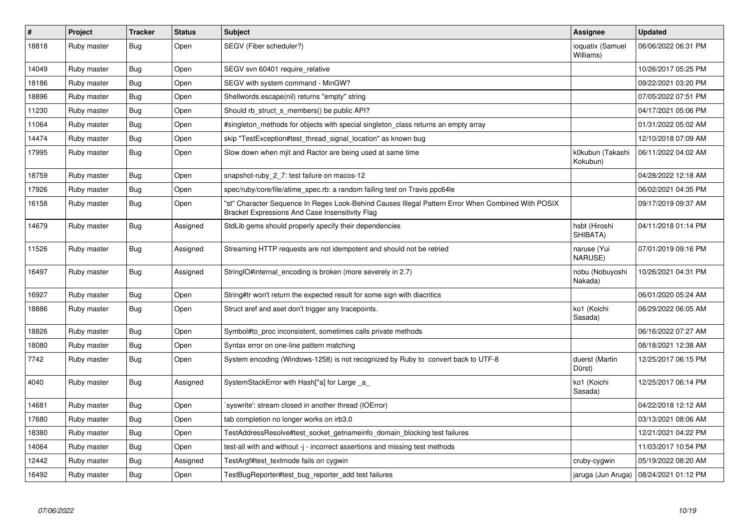| $\sharp$ | <b>Project</b> | <b>Tracker</b> | <b>Status</b> | <b>Subject</b>                                                                                                                                        | Assignee                      | <b>Updated</b>      |
|----------|----------------|----------------|---------------|-------------------------------------------------------------------------------------------------------------------------------------------------------|-------------------------------|---------------------|
| 18818    | Ruby master    | Bug            | Open          | SEGV (Fiber scheduler?)                                                                                                                               | ioquatix (Samuel<br>Williams) | 06/06/2022 06:31 PM |
| 14049    | Ruby master    | Bug            | Open          | SEGV svn 60401 require relative                                                                                                                       |                               | 10/26/2017 05:25 PM |
| 18186    | Ruby master    | Bug            | Open          | SEGV with system command - MinGW?                                                                                                                     |                               | 09/22/2021 03:20 PM |
| 18896    | Ruby master    | <b>Bug</b>     | Open          | Shellwords.escape(nil) returns "empty" string                                                                                                         |                               | 07/05/2022 07:51 PM |
| 11230    | Ruby master    | Bug            | Open          | Should rb struct s members() be public API?                                                                                                           |                               | 04/17/2021 05:06 PM |
| 11064    | Ruby master    | <b>Bug</b>     | Open          | #singleton methods for objects with special singleton class returns an empty array                                                                    |                               | 01/31/2022 05:02 AM |
| 14474    | Ruby master    | <b>Bug</b>     | Open          | skip "TestException#test_thread_signal_location" as known bug                                                                                         |                               | 12/10/2018 07:09 AM |
| 17995    | Ruby master    | Bug            | Open          | Slow down when mjit and Ractor are being used at same time                                                                                            | k0kubun (Takashi<br>Kokubun)  | 06/11/2022 04:02 AM |
| 18759    | Ruby master    | <b>Bug</b>     | Open          | snapshot-ruby_2_7: test failure on macos-12                                                                                                           |                               | 04/28/2022 12:18 AM |
| 17926    | Ruby master    | <b>Bug</b>     | Open          | spec/ruby/core/file/atime spec.rb: a random failing test on Travis ppc64le                                                                            |                               | 06/02/2021 04:35 PM |
| 16158    | Ruby master    | <b>Bug</b>     | Open          | "st" Character Sequence In Regex Look-Behind Causes Illegal Pattern Error When Combined With POSIX<br>Bracket Expressions And Case Insensitivity Flag |                               | 09/17/2019 09:37 AM |
| 14679    | Ruby master    | Bug            | Assigned      | StdLib gems should properly specify their dependencies                                                                                                | hsbt (Hiroshi<br>SHIBATA)     | 04/11/2018 01:14 PM |
| 11526    | Ruby master    | <b>Bug</b>     | Assigned      | Streaming HTTP requests are not idempotent and should not be retried                                                                                  | naruse (Yui<br>NARUSE)        | 07/01/2019 09:16 PM |
| 16497    | Ruby master    | <b>Bug</b>     | Assigned      | StringIO#internal_encoding is broken (more severely in 2.7)                                                                                           | nobu (Nobuyoshi<br>Nakada)    | 10/26/2021 04:31 PM |
| 16927    | Ruby master    | <b>Bug</b>     | Open          | String#tr won't return the expected result for some sign with diacritics                                                                              |                               | 06/01/2020 05:24 AM |
| 18886    | Ruby master    | <b>Bug</b>     | Open          | Struct aref and aset don't trigger any tracepoints.                                                                                                   | ko1 (Koichi<br>Sasada)        | 06/29/2022 06:05 AM |
| 18826    | Ruby master    | <b>Bug</b>     | Open          | Symbol#to_proc inconsistent, sometimes calls private methods                                                                                          |                               | 06/16/2022 07:27 AM |
| 18080    | Ruby master    | <b>Bug</b>     | Open          | Syntax error on one-line pattern matching                                                                                                             |                               | 08/18/2021 12:38 AM |
| 7742     | Ruby master    | Bug            | Open          | System encoding (Windows-1258) is not recognized by Ruby to convert back to UTF-8                                                                     | duerst (Martin<br>Dürst)      | 12/25/2017 06:15 PM |
| 4040     | Ruby master    | <b>Bug</b>     | Assigned      | SystemStackError with Hash[*a] for Large _a_                                                                                                          | ko1 (Koichi<br>Sasada)        | 12/25/2017 06:14 PM |
| 14681    | Ruby master    | <b>Bug</b>     | Open          | syswrite': stream closed in another thread (IOError)                                                                                                  |                               | 04/22/2018 12:12 AM |
| 17680    | Ruby master    | Bug            | Open          | tab completion no longer works on irb3.0                                                                                                              |                               | 03/13/2021 08:06 AM |
| 18380    | Ruby master    | <b>Bug</b>     | Open          | TestAddressResolve#test_socket_getnameinfo_domain_blocking test failures                                                                              |                               | 12/21/2021 04:22 PM |
| 14064    | Ruby master    | Bug            | Open          | test-all with and without -j - incorrect assertions and missing test methods                                                                          |                               | 11/03/2017 10:54 PM |
| 12442    | Ruby master    | Bug            | Assigned      | TestArgf#test textmode fails on cygwin                                                                                                                | cruby-cygwin                  | 05/19/2022 08:20 AM |
| 16492    | Ruby master    | Bug            | Open          | TestBugReporter#test_bug_reporter_add test failures                                                                                                   | jaruga (Jun Aruga)            | 08/24/2021 01:12 PM |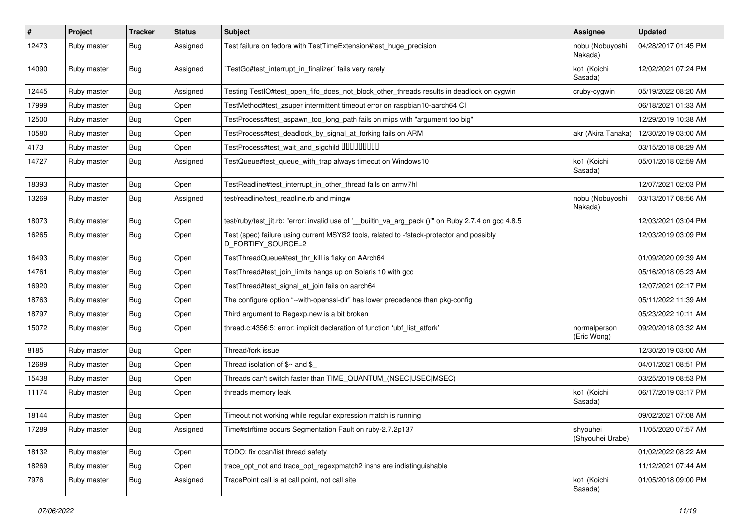| #     | Project     | <b>Tracker</b> | <b>Status</b> | Subject                                                                                                        | Assignee                     | <b>Updated</b>      |
|-------|-------------|----------------|---------------|----------------------------------------------------------------------------------------------------------------|------------------------------|---------------------|
| 12473 | Ruby master | Bug            | Assigned      | Test failure on fedora with TestTimeExtension#test_huge_precision                                              | nobu (Nobuyoshi<br>Nakada)   | 04/28/2017 01:45 PM |
| 14090 | Ruby master | Bug            | Assigned      | TestGc#test_interrupt_in_finalizer` fails very rarely                                                          | ko1 (Koichi<br>Sasada)       | 12/02/2021 07:24 PM |
| 12445 | Ruby master | Bug            | Assigned      | Testing TestlO#test_open_fifo_does_not_block_other_threads results in deadlock on cygwin                       | cruby-cygwin                 | 05/19/2022 08:20 AM |
| 17999 | Ruby master | <b>Bug</b>     | Open          | TestMethod#test zsuper intermittent timeout error on raspbian10-aarch64 CI                                     |                              | 06/18/2021 01:33 AM |
| 12500 | Ruby master | <b>Bug</b>     | Open          | TestProcess#test_aspawn_too_long_path fails on mips with "argument too big"                                    |                              | 12/29/2019 10:38 AM |
| 10580 | Ruby master | <b>Bug</b>     | Open          | TestProcess#test_deadlock_by_signal_at_forking fails on ARM                                                    | akr (Akira Tanaka)           | 12/30/2019 03:00 AM |
| 4173  | Ruby master | <b>Bug</b>     | Open          | TestProcess#test_wait_and_sigchild DDDDDDDD                                                                    |                              | 03/15/2018 08:29 AM |
| 14727 | Ruby master | Bug            | Assigned      | TestQueue#test_queue_with_trap always timeout on Windows10                                                     | ko1 (Koichi<br>Sasada)       | 05/01/2018 02:59 AM |
| 18393 | Ruby master | <b>Bug</b>     | Open          | TestReadline#test_interrupt_in_other_thread fails on armv7hl                                                   |                              | 12/07/2021 02:03 PM |
| 13269 | Ruby master | Bug            | Assigned      | test/readline/test_readline.rb and mingw                                                                       | nobu (Nobuyoshi<br>Nakada)   | 03/13/2017 08:56 AM |
| 18073 | Ruby master | Bug            | Open          | test/ruby/test_jit.rb: "error: invalid use of '__builtin_va_arg_pack ()" on Ruby 2.7.4 on gcc 4.8.5            |                              | 12/03/2021 03:04 PM |
| 16265 | Ruby master | Bug            | Open          | Test (spec) failure using current MSYS2 tools, related to -fstack-protector and possibly<br>D_FORTIFY_SOURCE=2 |                              | 12/03/2019 03:09 PM |
| 16493 | Ruby master | <b>Bug</b>     | Open          | TestThreadQueue#test_thr_kill is flaky on AArch64                                                              |                              | 01/09/2020 09:39 AM |
| 14761 | Ruby master | <b>Bug</b>     | Open          | TestThread#test_join_limits hangs up on Solaris 10 with gcc                                                    |                              | 05/16/2018 05:23 AM |
| 16920 | Ruby master | <b>Bug</b>     | Open          | TestThread#test_signal_at_join fails on aarch64                                                                |                              | 12/07/2021 02:17 PM |
| 18763 | Ruby master | <b>Bug</b>     | Open          | The configure option "--with-openssl-dir" has lower precedence than pkg-config                                 |                              | 05/11/2022 11:39 AM |
| 18797 | Ruby master | <b>Bug</b>     | Open          | Third argument to Regexp.new is a bit broken                                                                   |                              | 05/23/2022 10:11 AM |
| 15072 | Ruby master | <b>Bug</b>     | Open          | thread.c:4356:5: error: implicit declaration of function 'ubf list atfork'                                     | normalperson<br>(Eric Wong)  | 09/20/2018 03:32 AM |
| 8185  | Ruby master | Bug            | Open          | Thread/fork issue                                                                                              |                              | 12/30/2019 03:00 AM |
| 12689 | Ruby master | <b>Bug</b>     | Open          | Thread isolation of $$~$ and \$                                                                                |                              | 04/01/2021 08:51 PM |
| 15438 | Ruby master | <b>Bug</b>     | Open          | Threads can't switch faster than TIME QUANTUM (NSEC USEC MSEC)                                                 |                              | 03/25/2019 08:53 PM |
| 11174 | Ruby master | Bug            | Open          | threads memory leak                                                                                            | ko1 (Koichi<br>Sasada)       | 06/17/2019 03:17 PM |
| 18144 | Ruby master | Bug            | Open          | Timeout not working while regular expression match is running                                                  |                              | 09/02/2021 07:08 AM |
| 17289 | Ruby master | Bug            | Assigned      | Time#strftime occurs Segmentation Fault on ruby-2.7.2p137                                                      | shyouhei<br>(Shyouhei Urabe) | 11/05/2020 07:57 AM |
| 18132 | Ruby master | <b>Bug</b>     | Open          | TODO: fix ccan/list thread safety                                                                              |                              | 01/02/2022 08:22 AM |
| 18269 | Ruby master | <b>Bug</b>     | Open          | trace_opt_not and trace_opt_regexpmatch2 insns are indistinguishable                                           |                              | 11/12/2021 07:44 AM |
| 7976  | Ruby master | <b>Bug</b>     | Assigned      | TracePoint call is at call point, not call site                                                                | ko1 (Koichi<br>Sasada)       | 01/05/2018 09:00 PM |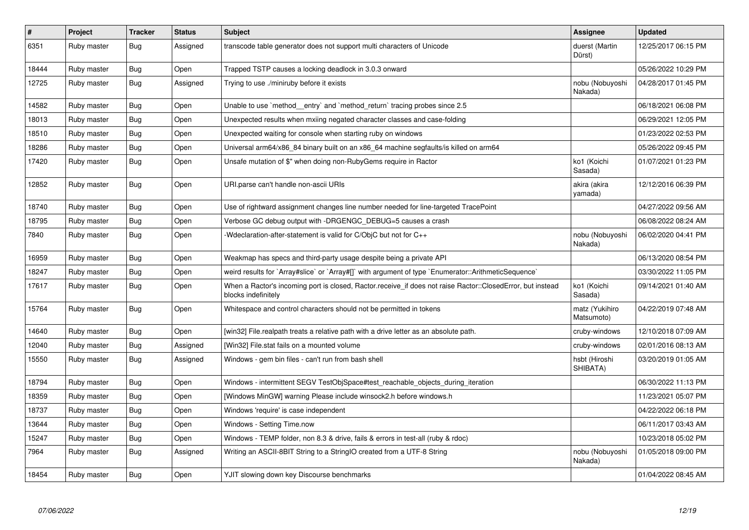| $\sharp$ | Project     | <b>Tracker</b> | <b>Status</b> | <b>Subject</b>                                                                                                                    | Assignee                     | <b>Updated</b>      |
|----------|-------------|----------------|---------------|-----------------------------------------------------------------------------------------------------------------------------------|------------------------------|---------------------|
| 6351     | Ruby master | <b>Bug</b>     | Assigned      | transcode table generator does not support multi characters of Unicode                                                            | duerst (Martin<br>Dürst)     | 12/25/2017 06:15 PM |
| 18444    | Ruby master | Bug            | Open          | Trapped TSTP causes a locking deadlock in 3.0.3 onward                                                                            |                              | 05/26/2022 10:29 PM |
| 12725    | Ruby master | <b>Bug</b>     | Assigned      | Trying to use ./miniruby before it exists                                                                                         | nobu (Nobuyoshi<br>Nakada)   | 04/28/2017 01:45 PM |
| 14582    | Ruby master | <b>Bug</b>     | Open          | Unable to use `method_entry` and `method_return` tracing probes since 2.5                                                         |                              | 06/18/2021 06:08 PM |
| 18013    | Ruby master | <b>Bug</b>     | Open          | Unexpected results when mxiing negated character classes and case-folding                                                         |                              | 06/29/2021 12:05 PM |
| 18510    | Ruby master | Bug            | Open          | Unexpected waiting for console when starting ruby on windows                                                                      |                              | 01/23/2022 02:53 PM |
| 18286    | Ruby master | <b>Bug</b>     | Open          | Universal arm64/x86_84 binary built on an x86_64 machine segfaults/is killed on arm64                                             |                              | 05/26/2022 09:45 PM |
| 17420    | Ruby master | <b>Bug</b>     | Open          | Unsafe mutation of \$" when doing non-RubyGems require in Ractor                                                                  | ko1 (Koichi<br>Sasada)       | 01/07/2021 01:23 PM |
| 12852    | Ruby master | <b>Bug</b>     | Open          | URI.parse can't handle non-ascii URIs                                                                                             | akira (akira<br>yamada)      | 12/12/2016 06:39 PM |
| 18740    | Ruby master | <b>Bug</b>     | Open          | Use of rightward assignment changes line number needed for line-targeted TracePoint                                               |                              | 04/27/2022 09:56 AM |
| 18795    | Ruby master | <b>Bug</b>     | Open          | Verbose GC debug output with -DRGENGC_DEBUG=5 causes a crash                                                                      |                              | 06/08/2022 08:24 AM |
| 7840     | Ruby master | <b>Bug</b>     | Open          | -Wdeclaration-after-statement is valid for C/ObjC but not for C++                                                                 | nobu (Nobuyoshi<br>Nakada)   | 06/02/2020 04:41 PM |
| 16959    | Ruby master | <b>Bug</b>     | Open          | Weakmap has specs and third-party usage despite being a private API                                                               |                              | 06/13/2020 08:54 PM |
| 18247    | Ruby master | <b>Bug</b>     | Open          | weird results for `Array#slice` or `Array#[]` with argument of type `Enumerator::ArithmeticSequence`                              |                              | 03/30/2022 11:05 PM |
| 17617    | Ruby master | <b>Bug</b>     | Open          | When a Ractor's incoming port is closed, Ractor.receive_if does not raise Ractor::ClosedError, but instead<br>blocks indefinitely | ko1 (Koichi<br>Sasada)       | 09/14/2021 01:40 AM |
| 15764    | Ruby master | <b>Bug</b>     | Open          | Whitespace and control characters should not be permitted in tokens                                                               | matz (Yukihiro<br>Matsumoto) | 04/22/2019 07:48 AM |
| 14640    | Ruby master | <b>Bug</b>     | Open          | [win32] File.realpath treats a relative path with a drive letter as an absolute path.                                             | cruby-windows                | 12/10/2018 07:09 AM |
| 12040    | Ruby master | <b>Bug</b>     | Assigned      | [Win32] File.stat fails on a mounted volume                                                                                       | cruby-windows                | 02/01/2016 08:13 AM |
| 15550    | Ruby master | Bug            | Assigned      | Windows - gem bin files - can't run from bash shell                                                                               | hsbt (Hiroshi<br>SHIBATA)    | 03/20/2019 01:05 AM |
| 18794    | Ruby master | <b>Bug</b>     | Open          | Windows - intermittent SEGV TestObjSpace#test_reachable_objects_during_iteration                                                  |                              | 06/30/2022 11:13 PM |
| 18359    | Ruby master | Bug            | Open          | [Windows MinGW] warning Please include winsock2.h before windows.h                                                                |                              | 11/23/2021 05:07 PM |
| 18737    | Ruby master | <b>Bug</b>     | Open          | Windows 'require' is case independent                                                                                             |                              | 04/22/2022 06:18 PM |
| 13644    | Ruby master | Bug            | Open          | Windows - Setting Time.now                                                                                                        |                              | 06/11/2017 03:43 AM |
| 15247    | Ruby master | <b>Bug</b>     | Open          | Windows - TEMP folder, non 8.3 & drive, fails & errors in test-all (ruby & rdoc)                                                  |                              | 10/23/2018 05:02 PM |
| 7964     | Ruby master | <b>Bug</b>     | Assigned      | Writing an ASCII-8BIT String to a StringIO created from a UTF-8 String                                                            | nobu (Nobuyoshi<br>Nakada)   | 01/05/2018 09:00 PM |
| 18454    | Ruby master | Bug            | Open          | YJIT slowing down key Discourse benchmarks                                                                                        |                              | 01/04/2022 08:45 AM |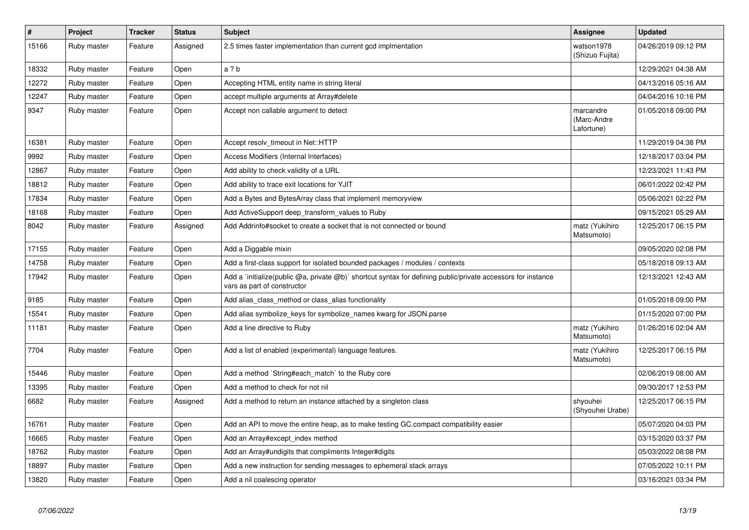| $\vert$ # | Project     | <b>Tracker</b> | <b>Status</b> | <b>Subject</b>                                                                                                                              | Assignee                               | <b>Updated</b>      |
|-----------|-------------|----------------|---------------|---------------------------------------------------------------------------------------------------------------------------------------------|----------------------------------------|---------------------|
| 15166     | Ruby master | Feature        | Assigned      | 2.5 times faster implementation than current gcd implmentation                                                                              | watson1978<br>(Shizuo Fujita)          | 04/26/2019 09:12 PM |
| 18332     | Ruby master | Feature        | Open          | a ? b                                                                                                                                       |                                        | 12/29/2021 04:38 AM |
| 12272     | Ruby master | Feature        | Open          | Accepting HTML entity name in string literal                                                                                                |                                        | 04/13/2016 05:16 AM |
| 12247     | Ruby master | Feature        | Open          | accept multiple arguments at Array#delete                                                                                                   |                                        | 04/04/2016 10:16 PM |
| 9347      | Ruby master | Feature        | Open          | Accept non callable argument to detect                                                                                                      | marcandre<br>(Marc-Andre<br>Lafortune) | 01/05/2018 09:00 PM |
| 16381     | Ruby master | Feature        | Open          | Accept resolv timeout in Net::HTTP                                                                                                          |                                        | 11/29/2019 04:38 PM |
| 9992      | Ruby master | Feature        | Open          | Access Modifiers (Internal Interfaces)                                                                                                      |                                        | 12/18/2017 03:04 PM |
| 12867     | Ruby master | Feature        | Open          | Add ability to check validity of a URL                                                                                                      |                                        | 12/23/2021 11:43 PM |
| 18812     | Ruby master | Feature        | Open          | Add ability to trace exit locations for YJIT                                                                                                |                                        | 06/01/2022 02:42 PM |
| 17834     | Ruby master | Feature        | Open          | Add a Bytes and BytesArray class that implement memoryview                                                                                  |                                        | 05/06/2021 02:22 PM |
| 18168     | Ruby master | Feature        | Open          | Add ActiveSupport deep_transform_values to Ruby                                                                                             |                                        | 09/15/2021 05:29 AM |
| 8042      | Ruby master | Feature        | Assigned      | Add Addrinfo#socket to create a socket that is not connected or bound                                                                       | matz (Yukihiro<br>Matsumoto)           | 12/25/2017 06:15 PM |
| 17155     | Ruby master | Feature        | Open          | Add a Diggable mixin                                                                                                                        |                                        | 09/05/2020 02:08 PM |
| 14758     | Ruby master | Feature        | Open          | Add a first-class support for isolated bounded packages / modules / contexts                                                                |                                        | 05/18/2018 09:13 AM |
| 17942     | Ruby master | Feature        | Open          | Add a `initialize(public @a, private @b)` shortcut syntax for defining public/private accessors for instance<br>vars as part of constructor |                                        | 12/13/2021 12:43 AM |
| 9185      | Ruby master | Feature        | Open          | Add alias class method or class alias functionality                                                                                         |                                        | 01/05/2018 09:00 PM |
| 15541     | Ruby master | Feature        | Open          | Add alias symbolize keys for symbolize names kwarg for JSON parse                                                                           |                                        | 01/15/2020 07:00 PM |
| 11181     | Ruby master | Feature        | Open          | Add a line directive to Ruby                                                                                                                | matz (Yukihiro<br>Matsumoto)           | 01/26/2016 02:04 AM |
| 7704      | Ruby master | Feature        | Open          | Add a list of enabled (experimental) language features.                                                                                     | matz (Yukihiro<br>Matsumoto)           | 12/25/2017 06:15 PM |
| 15446     | Ruby master | Feature        | Open          | Add a method `String#each match` to the Ruby core                                                                                           |                                        | 02/06/2019 08:00 AM |
| 13395     | Ruby master | Feature        | Open          | Add a method to check for not nil                                                                                                           |                                        | 09/30/2017 12:53 PM |
| 6682      | Ruby master | Feature        | Assigned      | Add a method to return an instance attached by a singleton class                                                                            | shyouhei<br>(Shyouhei Urabe)           | 12/25/2017 06:15 PM |
| 16761     | Ruby master | Feature        | Open          | Add an API to move the entire heap, as to make testing GC.compact compatibility easier                                                      |                                        | 05/07/2020 04:03 PM |
| 16665     | Ruby master | Feature        | Open          | Add an Array#except index method                                                                                                            |                                        | 03/15/2020 03:37 PM |
| 18762     | Ruby master | Feature        | Open          | Add an Array#undigits that compliments Integer#digits                                                                                       |                                        | 05/03/2022 08:08 PM |
| 18897     | Ruby master | Feature        | Open          | Add a new instruction for sending messages to ephemeral stack arrays                                                                        |                                        | 07/05/2022 10:11 PM |
| 13820     | Ruby master | Feature        | Open          | Add a nil coalescing operator                                                                                                               |                                        | 03/16/2021 03:34 PM |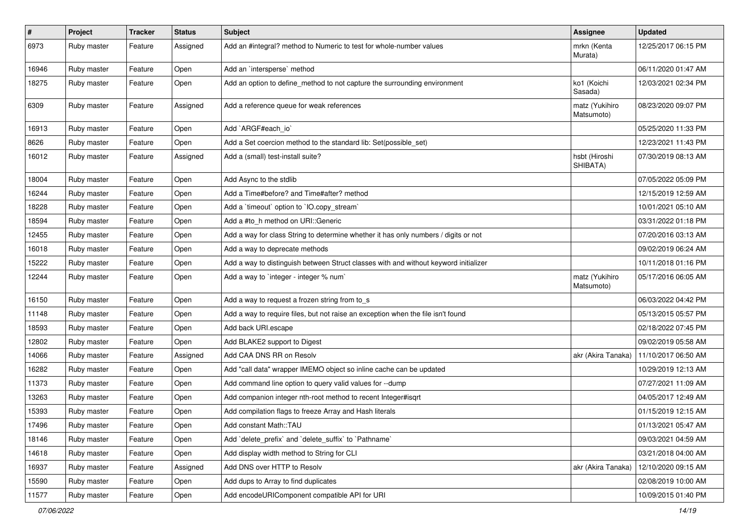| $\sharp$ | Project     | <b>Tracker</b> | <b>Status</b> | Subject                                                                              | Assignee                     | <b>Updated</b>      |
|----------|-------------|----------------|---------------|--------------------------------------------------------------------------------------|------------------------------|---------------------|
| 6973     | Ruby master | Feature        | Assigned      | Add an #integral? method to Numeric to test for whole-number values                  | mrkn (Kenta<br>Murata)       | 12/25/2017 06:15 PM |
| 16946    | Ruby master | Feature        | Open          | Add an `intersperse` method                                                          |                              | 06/11/2020 01:47 AM |
| 18275    | Ruby master | Feature        | Open          | Add an option to define_method to not capture the surrounding environment            | ko1 (Koichi<br>Sasada)       | 12/03/2021 02:34 PM |
| 6309     | Ruby master | Feature        | Assigned      | Add a reference queue for weak references                                            | matz (Yukihiro<br>Matsumoto) | 08/23/2020 09:07 PM |
| 16913    | Ruby master | Feature        | Open          | Add `ARGF#each_io`                                                                   |                              | 05/25/2020 11:33 PM |
| 8626     | Ruby master | Feature        | Open          | Add a Set coercion method to the standard lib: Set (possible set)                    |                              | 12/23/2021 11:43 PM |
| 16012    | Ruby master | Feature        | Assigned      | Add a (small) test-install suite?                                                    | hsbt (Hiroshi<br>SHIBATA)    | 07/30/2019 08:13 AM |
| 18004    | Ruby master | Feature        | Open          | Add Async to the stdlib                                                              |                              | 07/05/2022 05:09 PM |
| 16244    | Ruby master | Feature        | Open          | Add a Time#before? and Time#after? method                                            |                              | 12/15/2019 12:59 AM |
| 18228    | Ruby master | Feature        | Open          | Add a 'timeout' option to 'IO.copy_stream'                                           |                              | 10/01/2021 05:10 AM |
| 18594    | Ruby master | Feature        | Open          | Add a #to_h method on URI::Generic                                                   |                              | 03/31/2022 01:18 PM |
| 12455    | Ruby master | Feature        | Open          | Add a way for class String to determine whether it has only numbers / digits or not  |                              | 07/20/2016 03:13 AM |
| 16018    | Ruby master | Feature        | Open          | Add a way to deprecate methods                                                       |                              | 09/02/2019 06:24 AM |
| 15222    | Ruby master | Feature        | Open          | Add a way to distinguish between Struct classes with and without keyword initializer |                              | 10/11/2018 01:16 PM |
| 12244    | Ruby master | Feature        | Open          | Add a way to 'integer - integer % num'                                               | matz (Yukihiro<br>Matsumoto) | 05/17/2016 06:05 AM |
| 16150    | Ruby master | Feature        | Open          | Add a way to request a frozen string from to_s                                       |                              | 06/03/2022 04:42 PM |
| 11148    | Ruby master | Feature        | Open          | Add a way to require files, but not raise an exception when the file isn't found     |                              | 05/13/2015 05:57 PM |
| 18593    | Ruby master | Feature        | Open          | Add back URI.escape                                                                  |                              | 02/18/2022 07:45 PM |
| 12802    | Ruby master | Feature        | Open          | Add BLAKE2 support to Digest                                                         |                              | 09/02/2019 05:58 AM |
| 14066    | Ruby master | Feature        | Assigned      | Add CAA DNS RR on Resolv                                                             | akr (Akira Tanaka)           | 11/10/2017 06:50 AM |
| 16282    | Ruby master | Feature        | Open          | Add "call data" wrapper IMEMO object so inline cache can be updated                  |                              | 10/29/2019 12:13 AM |
| 11373    | Ruby master | Feature        | Open          | Add command line option to query valid values for --dump                             |                              | 07/27/2021 11:09 AM |
| 13263    | Ruby master | Feature        | Open          | Add companion integer nth-root method to recent Integer#isqrt                        |                              | 04/05/2017 12:49 AM |
| 15393    | Ruby master | Feature        | Open          | Add compilation flags to freeze Array and Hash literals                              |                              | 01/15/2019 12:15 AM |
| 17496    | Ruby master | Feature        | Open          | Add constant Math::TAU                                                               |                              | 01/13/2021 05:47 AM |
| 18146    | Ruby master | Feature        | Open          | Add 'delete prefix' and 'delete suffix' to 'Pathname'                                |                              | 09/03/2021 04:59 AM |
| 14618    | Ruby master | Feature        | Open          | Add display width method to String for CLI                                           |                              | 03/21/2018 04:00 AM |
| 16937    | Ruby master | Feature        | Assigned      | Add DNS over HTTP to Resolv                                                          | akr (Akira Tanaka)           | 12/10/2020 09:15 AM |
| 15590    | Ruby master | Feature        | Open          | Add dups to Array to find duplicates                                                 |                              | 02/08/2019 10:00 AM |
| 11577    | Ruby master | Feature        | Open          | Add encodeURIComponent compatible API for URI                                        |                              | 10/09/2015 01:40 PM |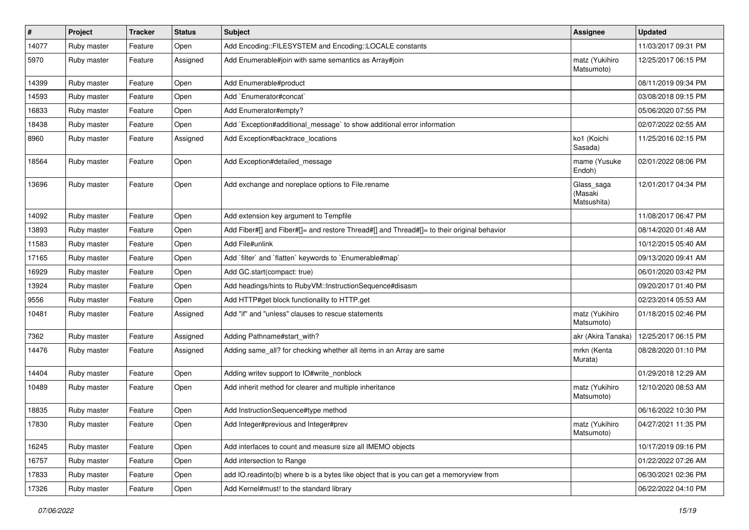| $\vert$ # | Project     | <b>Tracker</b> | <b>Status</b> | Subject                                                                                    | <b>Assignee</b>                      | <b>Updated</b>      |
|-----------|-------------|----------------|---------------|--------------------------------------------------------------------------------------------|--------------------------------------|---------------------|
| 14077     | Ruby master | Feature        | Open          | Add Encoding::FILESYSTEM and Encoding::LOCALE constants                                    |                                      | 11/03/2017 09:31 PM |
| 5970      | Ruby master | Feature        | Assigned      | Add Enumerable#join with same semantics as Array#join                                      | matz (Yukihiro<br>Matsumoto)         | 12/25/2017 06:15 PM |
| 14399     | Ruby master | Feature        | Open          | Add Enumerable#product                                                                     |                                      | 08/11/2019 09:34 PM |
| 14593     | Ruby master | Feature        | Open          | Add `Enumerator#concat`                                                                    |                                      | 03/08/2018 09:15 PM |
| 16833     | Ruby master | Feature        | Open          | Add Enumerator#empty?                                                                      |                                      | 05/06/2020 07:55 PM |
| 18438     | Ruby master | Feature        | Open          | Add `Exception#additional_message` to show additional error information                    |                                      | 02/07/2022 02:55 AM |
| 8960      | Ruby master | Feature        | Assigned      | Add Exception#backtrace_locations                                                          | ko1 (Koichi<br>Sasada)               | 11/25/2016 02:15 PM |
| 18564     | Ruby master | Feature        | Open          | Add Exception#detailed_message                                                             | mame (Yusuke<br>Endoh)               | 02/01/2022 08:06 PM |
| 13696     | Ruby master | Feature        | Open          | Add exchange and noreplace options to File.rename                                          | Glass_saga<br>(Masaki<br>Matsushita) | 12/01/2017 04:34 PM |
| 14092     | Ruby master | Feature        | Open          | Add extension key argument to Tempfile                                                     |                                      | 11/08/2017 06:47 PM |
| 13893     | Ruby master | Feature        | Open          | Add Fiber#[] and Fiber#[]= and restore Thread#[] and Thread#[]= to their original behavior |                                      | 08/14/2020 01:48 AM |
| 11583     | Ruby master | Feature        | Open          | Add File#unlink                                                                            |                                      | 10/12/2015 05:40 AM |
| 17165     | Ruby master | Feature        | Open          | Add 'filter' and 'flatten' keywords to 'Enumerable#map'                                    |                                      | 09/13/2020 09:41 AM |
| 16929     | Ruby master | Feature        | Open          | Add GC.start(compact: true)                                                                |                                      | 06/01/2020 03:42 PM |
| 13924     | Ruby master | Feature        | Open          | Add headings/hints to RubyVM::InstructionSequence#disasm                                   |                                      | 09/20/2017 01:40 PM |
| 9556      | Ruby master | Feature        | Open          | Add HTTP#get block functionality to HTTP.get                                               |                                      | 02/23/2014 05:53 AM |
| 10481     | Ruby master | Feature        | Assigned      | Add "if" and "unless" clauses to rescue statements                                         | matz (Yukihiro<br>Matsumoto)         | 01/18/2015 02:46 PM |
| 7362      | Ruby master | Feature        | Assigned      | Adding Pathname#start_with?                                                                | akr (Akira Tanaka)                   | 12/25/2017 06:15 PM |
| 14476     | Ruby master | Feature        | Assigned      | Adding same all? for checking whether all items in an Array are same                       | mrkn (Kenta<br>Murata)               | 08/28/2020 01:10 PM |
| 14404     | Ruby master | Feature        | Open          | Adding writev support to IO#write_nonblock                                                 |                                      | 01/29/2018 12:29 AM |
| 10489     | Ruby master | Feature        | Open          | Add inherit method for clearer and multiple inheritance                                    | matz (Yukihiro<br>Matsumoto)         | 12/10/2020 08:53 AM |
| 18835     | Ruby master | Feature        | Open          | Add InstructionSequence#type method                                                        |                                      | 06/16/2022 10:30 PM |
| 17830     | Ruby master | Feature        | Open          | Add Integer#previous and Integer#prev                                                      | matz (Yukihiro<br>Matsumoto)         | 04/27/2021 11:35 PM |
| 16245     | Ruby master | Feature        | Open          | Add interfaces to count and measure size all IMEMO objects                                 |                                      | 10/17/2019 09:16 PM |
| 16757     | Ruby master | Feature        | Open          | Add intersection to Range                                                                  |                                      | 01/22/2022 07:26 AM |
| 17833     | Ruby master | Feature        | Open          | add IO.readinto(b) where b is a bytes like object that is you can get a memoryview from    |                                      | 06/30/2021 02:36 PM |
| 17326     | Ruby master | Feature        | Open          | Add Kernel#must! to the standard library                                                   |                                      | 06/22/2022 04:10 PM |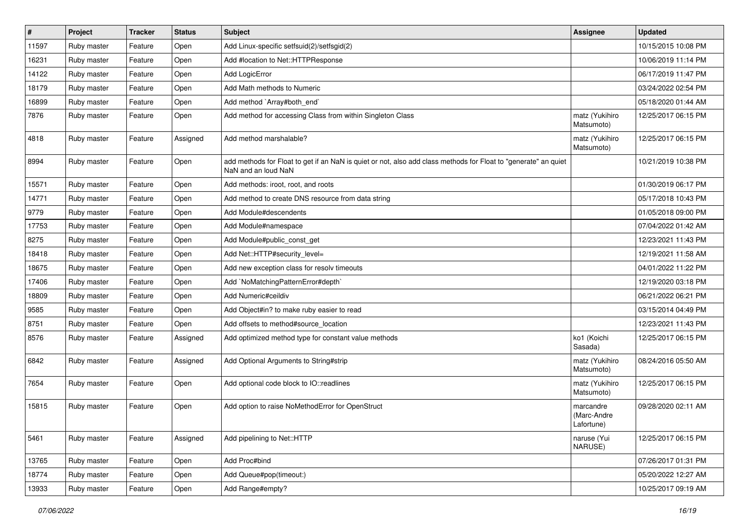| $\vert$ # | Project     | <b>Tracker</b> | <b>Status</b> | <b>Subject</b>                                                                                                                         | <b>Assignee</b>                        | <b>Updated</b>      |
|-----------|-------------|----------------|---------------|----------------------------------------------------------------------------------------------------------------------------------------|----------------------------------------|---------------------|
| 11597     | Ruby master | Feature        | Open          | Add Linux-specific setfsuid(2)/setfsgid(2)                                                                                             |                                        | 10/15/2015 10:08 PM |
| 16231     | Ruby master | Feature        | Open          | Add #location to Net::HTTPResponse                                                                                                     |                                        | 10/06/2019 11:14 PM |
| 14122     | Ruby master | Feature        | Open          | Add LogicError                                                                                                                         |                                        | 06/17/2019 11:47 PM |
| 18179     | Ruby master | Feature        | Open          | Add Math methods to Numeric                                                                                                            |                                        | 03/24/2022 02:54 PM |
| 16899     | Ruby master | Feature        | Open          | Add method `Array#both_end`                                                                                                            |                                        | 05/18/2020 01:44 AM |
| 7876      | Ruby master | Feature        | Open          | Add method for accessing Class from within Singleton Class                                                                             | matz (Yukihiro<br>Matsumoto)           | 12/25/2017 06:15 PM |
| 4818      | Ruby master | Feature        | Assigned      | Add method marshalable?                                                                                                                | matz (Yukihiro<br>Matsumoto)           | 12/25/2017 06:15 PM |
| 8994      | Ruby master | Feature        | Open          | add methods for Float to get if an NaN is quiet or not, also add class methods for Float to "generate" an quiet<br>NaN and an loud NaN |                                        | 10/21/2019 10:38 PM |
| 15571     | Ruby master | Feature        | Open          | Add methods: iroot, root, and roots                                                                                                    |                                        | 01/30/2019 06:17 PM |
| 14771     | Ruby master | Feature        | Open          | Add method to create DNS resource from data string                                                                                     |                                        | 05/17/2018 10:43 PM |
| 9779      | Ruby master | Feature        | Open          | Add Module#descendents                                                                                                                 |                                        | 01/05/2018 09:00 PM |
| 17753     | Ruby master | Feature        | Open          | Add Module#namespace                                                                                                                   |                                        | 07/04/2022 01:42 AM |
| 8275      | Ruby master | Feature        | Open          | Add Module#public_const_get                                                                                                            |                                        | 12/23/2021 11:43 PM |
| 18418     | Ruby master | Feature        | Open          | Add Net::HTTP#security_level=                                                                                                          |                                        | 12/19/2021 11:58 AM |
| 18675     | Ruby master | Feature        | Open          | Add new exception class for resolv timeouts                                                                                            |                                        | 04/01/2022 11:22 PM |
| 17406     | Ruby master | Feature        | Open          | Add `NoMatchingPatternError#depth`                                                                                                     |                                        | 12/19/2020 03:18 PM |
| 18809     | Ruby master | Feature        | Open          | Add Numeric#ceildiv                                                                                                                    |                                        | 06/21/2022 06:21 PM |
| 9585      | Ruby master | Feature        | Open          | Add Object#in? to make ruby easier to read                                                                                             |                                        | 03/15/2014 04:49 PM |
| 8751      | Ruby master | Feature        | Open          | Add offsets to method#source_location                                                                                                  |                                        | 12/23/2021 11:43 PM |
| 8576      | Ruby master | Feature        | Assigned      | Add optimized method type for constant value methods                                                                                   | ko1 (Koichi<br>Sasada)                 | 12/25/2017 06:15 PM |
| 6842      | Ruby master | Feature        | Assigned      | Add Optional Arguments to String#strip                                                                                                 | matz (Yukihiro<br>Matsumoto)           | 08/24/2016 05:50 AM |
| 7654      | Ruby master | Feature        | Open          | Add optional code block to IO::readlines                                                                                               | matz (Yukihiro<br>Matsumoto)           | 12/25/2017 06:15 PM |
| 15815     | Ruby master | Feature        | Open          | Add option to raise NoMethodError for OpenStruct                                                                                       | marcandre<br>(Marc-Andre<br>Lafortune) | 09/28/2020 02:11 AM |
| 5461      | Ruby master | Feature        | Assigned      | Add pipelining to Net::HTTP                                                                                                            | naruse (Yui<br>NARUSE)                 | 12/25/2017 06:15 PM |
| 13765     | Ruby master | Feature        | Open          | Add Proc#bind                                                                                                                          |                                        | 07/26/2017 01:31 PM |
| 18774     | Ruby master | Feature        | Open          | Add Queue#pop(timeout:)                                                                                                                |                                        | 05/20/2022 12:27 AM |
| 13933     | Ruby master | Feature        | Open          | Add Range#empty?                                                                                                                       |                                        | 10/25/2017 09:19 AM |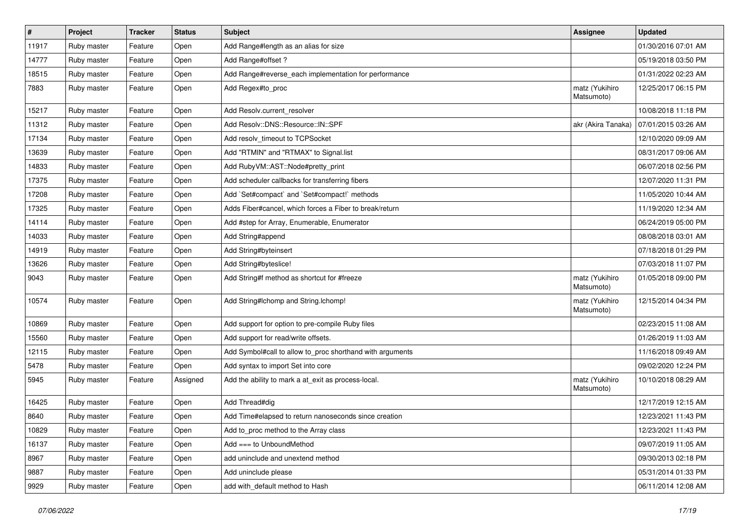| $\vert$ # | Project     | <b>Tracker</b> | <b>Status</b> | Subject                                                   | <b>Assignee</b>              | <b>Updated</b>      |
|-----------|-------------|----------------|---------------|-----------------------------------------------------------|------------------------------|---------------------|
| 11917     | Ruby master | Feature        | Open          | Add Range#length as an alias for size                     |                              | 01/30/2016 07:01 AM |
| 14777     | Ruby master | Feature        | Open          | Add Range#offset?                                         |                              | 05/19/2018 03:50 PM |
| 18515     | Ruby master | Feature        | Open          | Add Range#reverse_each implementation for performance     |                              | 01/31/2022 02:23 AM |
| 7883      | Ruby master | Feature        | Open          | Add Regex#to_proc                                         | matz (Yukihiro<br>Matsumoto) | 12/25/2017 06:15 PM |
| 15217     | Ruby master | Feature        | Open          | Add Resolv.current_resolver                               |                              | 10/08/2018 11:18 PM |
| 11312     | Ruby master | Feature        | Open          | Add Resolv::DNS::Resource::IN::SPF                        | akr (Akira Tanaka)           | 07/01/2015 03:26 AM |
| 17134     | Ruby master | Feature        | Open          | Add resolv_timeout to TCPSocket                           |                              | 12/10/2020 09:09 AM |
| 13639     | Ruby master | Feature        | Open          | Add "RTMIN" and "RTMAX" to Signal.list                    |                              | 08/31/2017 09:06 AM |
| 14833     | Ruby master | Feature        | Open          | Add RubyVM::AST::Node#pretty_print                        |                              | 06/07/2018 02:56 PM |
| 17375     | Ruby master | Feature        | Open          | Add scheduler callbacks for transferring fibers           |                              | 12/07/2020 11:31 PM |
| 17208     | Ruby master | Feature        | Open          | Add `Set#compact` and `Set#compact!` methods              |                              | 11/05/2020 10:44 AM |
| 17325     | Ruby master | Feature        | Open          | Adds Fiber#cancel, which forces a Fiber to break/return   |                              | 11/19/2020 12:34 AM |
| 14114     | Ruby master | Feature        | Open          | Add #step for Array, Enumerable, Enumerator               |                              | 06/24/2019 05:00 PM |
| 14033     | Ruby master | Feature        | Open          | Add String#append                                         |                              | 08/08/2018 03:01 AM |
| 14919     | Ruby master | Feature        | Open          | Add String#byteinsert                                     |                              | 07/18/2018 01:29 PM |
| 13626     | Ruby master | Feature        | Open          | Add String#byteslice!                                     |                              | 07/03/2018 11:07 PM |
| 9043      | Ruby master | Feature        | Open          | Add String#f method as shortcut for #freeze               | matz (Yukihiro<br>Matsumoto) | 01/05/2018 09:00 PM |
| 10574     | Ruby master | Feature        | Open          | Add String#Ichomp and String.Ichomp!                      | matz (Yukihiro<br>Matsumoto) | 12/15/2014 04:34 PM |
| 10869     | Ruby master | Feature        | Open          | Add support for option to pre-compile Ruby files          |                              | 02/23/2015 11:08 AM |
| 15560     | Ruby master | Feature        | Open          | Add support for read/write offsets.                       |                              | 01/26/2019 11:03 AM |
| 12115     | Ruby master | Feature        | Open          | Add Symbol#call to allow to_proc shorthand with arguments |                              | 11/16/2018 09:49 AM |
| 5478      | Ruby master | Feature        | Open          | Add syntax to import Set into core                        |                              | 09/02/2020 12:24 PM |
| 5945      | Ruby master | Feature        | Assigned      | Add the ability to mark a at_exit as process-local.       | matz (Yukihiro<br>Matsumoto) | 10/10/2018 08:29 AM |
| 16425     | Ruby master | Feature        | Open          | Add Thread#dig                                            |                              | 12/17/2019 12:15 AM |
| 8640      | Ruby master | Feature        | Open          | Add Time#elapsed to return nanoseconds since creation     |                              | 12/23/2021 11:43 PM |
| 10829     | Ruby master | Feature        | Open          | Add to_proc method to the Array class                     |                              | 12/23/2021 11:43 PM |
| 16137     | Ruby master | Feature        | Open          | Add === to UnboundMethod                                  |                              | 09/07/2019 11:05 AM |
| 8967      | Ruby master | Feature        | Open          | add uninclude and unextend method                         |                              | 09/30/2013 02:18 PM |
| 9887      | Ruby master | Feature        | Open          | Add uninclude please                                      |                              | 05/31/2014 01:33 PM |
| 9929      | Ruby master | Feature        | Open          | add with_default method to Hash                           |                              | 06/11/2014 12:08 AM |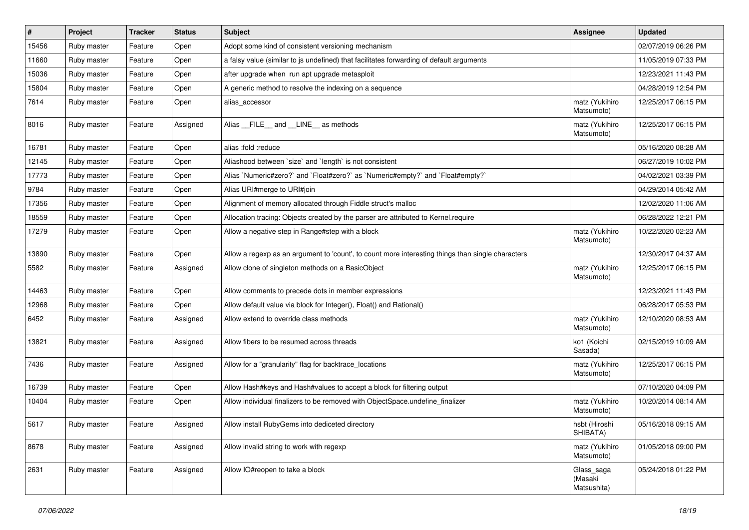| #     | Project     | <b>Tracker</b> | <b>Status</b> | Subject                                                                                           | <b>Assignee</b>                      | <b>Updated</b>      |
|-------|-------------|----------------|---------------|---------------------------------------------------------------------------------------------------|--------------------------------------|---------------------|
| 15456 | Ruby master | Feature        | Open          | Adopt some kind of consistent versioning mechanism                                                |                                      | 02/07/2019 06:26 PM |
| 11660 | Ruby master | Feature        | Open          | a falsy value (similar to js undefined) that facilitates forwarding of default arguments          |                                      | 11/05/2019 07:33 PM |
| 15036 | Ruby master | Feature        | Open          | after upgrade when run apt upgrade metasploit                                                     |                                      | 12/23/2021 11:43 PM |
| 15804 | Ruby master | Feature        | Open          | A generic method to resolve the indexing on a sequence                                            |                                      | 04/28/2019 12:54 PM |
| 7614  | Ruby master | Feature        | Open          | alias_accessor                                                                                    | matz (Yukihiro<br>Matsumoto)         | 12/25/2017 06:15 PM |
| 8016  | Ruby master | Feature        | Assigned      | Alias __FILE__ and __LINE__ as methods                                                            | matz (Yukihiro<br>Matsumoto)         | 12/25/2017 06:15 PM |
| 16781 | Ruby master | Feature        | Open          | alias :fold :reduce                                                                               |                                      | 05/16/2020 08:28 AM |
| 12145 | Ruby master | Feature        | Open          | Aliashood between 'size' and 'length' is not consistent                                           |                                      | 06/27/2019 10:02 PM |
| 17773 | Ruby master | Feature        | Open          | Alias `Numeric#zero?` and `Float#zero?` as `Numeric#empty?` and `Float#empty?`                    |                                      | 04/02/2021 03:39 PM |
| 9784  | Ruby master | Feature        | Open          | Alias URI#merge to URI#join                                                                       |                                      | 04/29/2014 05:42 AM |
| 17356 | Ruby master | Feature        | Open          | Alignment of memory allocated through Fiddle struct's malloc                                      |                                      | 12/02/2020 11:06 AM |
| 18559 | Ruby master | Feature        | Open          | Allocation tracing: Objects created by the parser are attributed to Kernel.require                |                                      | 06/28/2022 12:21 PM |
| 17279 | Ruby master | Feature        | Open          | Allow a negative step in Range#step with a block                                                  | matz (Yukihiro<br>Matsumoto)         | 10/22/2020 02:23 AM |
| 13890 | Ruby master | Feature        | Open          | Allow a regexp as an argument to 'count', to count more interesting things than single characters |                                      | 12/30/2017 04:37 AM |
| 5582  | Ruby master | Feature        | Assigned      | Allow clone of singleton methods on a BasicObject                                                 | matz (Yukihiro<br>Matsumoto)         | 12/25/2017 06:15 PM |
| 14463 | Ruby master | Feature        | Open          | Allow comments to precede dots in member expressions                                              |                                      | 12/23/2021 11:43 PM |
| 12968 | Ruby master | Feature        | Open          | Allow default value via block for Integer(), Float() and Rational()                               |                                      | 06/28/2017 05:53 PM |
| 6452  | Ruby master | Feature        | Assigned      | Allow extend to override class methods                                                            | matz (Yukihiro<br>Matsumoto)         | 12/10/2020 08:53 AM |
| 13821 | Ruby master | Feature        | Assigned      | Allow fibers to be resumed across threads                                                         | ko1 (Koichi<br>Sasada)               | 02/15/2019 10:09 AM |
| 7436  | Ruby master | Feature        | Assigned      | Allow for a "granularity" flag for backtrace_locations                                            | matz (Yukihiro<br>Matsumoto)         | 12/25/2017 06:15 PM |
| 16739 | Ruby master | Feature        | Open          | Allow Hash#keys and Hash#values to accept a block for filtering output                            |                                      | 07/10/2020 04:09 PM |
| 10404 | Ruby master | Feature        | Open          | Allow individual finalizers to be removed with ObjectSpace.undefine_finalizer                     | matz (Yukihiro<br>Matsumoto)         | 10/20/2014 08:14 AM |
| 5617  | Ruby master | i Feature      | Assigned      | Allow install RubyGems into dediceted directory                                                   | hsbt (Hiroshi<br>SHIBATA)            | 05/16/2018 09:15 AM |
| 8678  | Ruby master | Feature        | Assigned      | Allow invalid string to work with regexp                                                          | matz (Yukihiro<br>Matsumoto)         | 01/05/2018 09:00 PM |
| 2631  | Ruby master | Feature        | Assigned      | Allow IO#reopen to take a block                                                                   | Glass_saga<br>(Masaki<br>Matsushita) | 05/24/2018 01:22 PM |